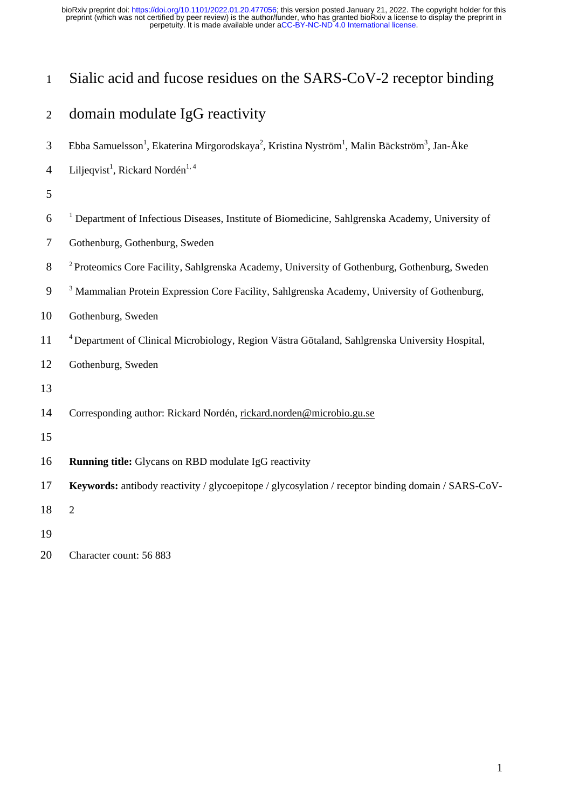# Sialic acid and fucose residues on the SARS-CoV-2 receptor binding

# domain modulate IgG reactivity

- 3 Ebba Samuelsson<sup>1</sup>, Ekaterina Mirgorodskaya<sup>2</sup>, Kristina Nyström<sup>1</sup>, Malin Bäckström<sup>3</sup>, Jan-Åke
- 4 Liljeqvist<sup>1</sup>, Rickard Nordén<sup>1, 4</sup>
- 
- 6 <sup>1</sup> Department of Infectious Diseases, Institute of Biomedicine, Sahlgrenska Academy, University of
- Gothenburg, Gothenburg, Sweden
- <sup>2</sup> Proteomics Core Facility, Sahlgrenska Academy, University of Gothenburg, Gothenburg, Sweden
- <sup>3</sup> Mammalian Protein Expression Core Facility, Sahlgrenska Academy, University of Gothenburg,
- Gothenburg, Sweden
- <sup>4</sup> Department of Clinical Microbiology, Region Västra Götaland, Sahlgrenska University Hospital,
- Gothenburg, Sweden
- 
- Corresponding author: Rickard Nordén, rickard.norden@microbio.gu.se
- 
- **Running title:** Glycans on RBD modulate IgG reactivity
- **Keywords:** antibody reactivity / glycoepitope / glycosylation / receptor binding domain / SARS-CoV-

2

Character count: 56 883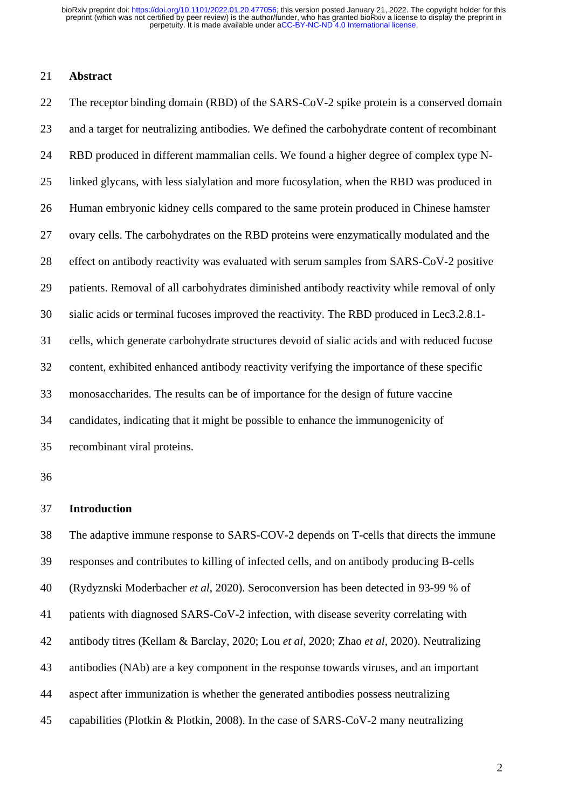### **Abstract**

 The receptor binding domain (RBD) of the SARS-CoV-2 spike protein is a conserved domain and a target for neutralizing antibodies. We defined the carbohydrate content of recombinant RBD produced in different mammalian cells. We found a higher degree of complex type N- linked glycans, with less sialylation and more fucosylation, when the RBD was produced in Human embryonic kidney cells compared to the same protein produced in Chinese hamster ovary cells. The carbohydrates on the RBD proteins were enzymatically modulated and the effect on antibody reactivity was evaluated with serum samples from SARS-CoV-2 positive patients. Removal of all carbohydrates diminished antibody reactivity while removal of only sialic acids or terminal fucoses improved the reactivity. The RBD produced in Lec3.2.8.1- cells, which generate carbohydrate structures devoid of sialic acids and with reduced fucose content, exhibited enhanced antibody reactivity verifying the importance of these specific monosaccharides. The results can be of importance for the design of future vaccine candidates, indicating that it might be possible to enhance the immunogenicity of recombinant viral proteins.

#### **Introduction**

 The adaptive immune response to SARS-COV-2 depends on T-cells that directs the immune responses and contributes to killing of infected cells, and on antibody producing B-cells (Rydyznski Moderbacher *et al*, 2020). Seroconversion has been detected in 93-99 % of patients with diagnosed SARS-CoV-2 infection, with disease severity correlating with antibody titres (Kellam & Barclay, 2020; Lou *et al*, 2020; Zhao *et al*, 2020). Neutralizing antibodies (NAb) are a key component in the response towards viruses, and an important aspect after immunization is whether the generated antibodies possess neutralizing capabilities (Plotkin & Plotkin, 2008). In the case of SARS-CoV-2 many neutralizing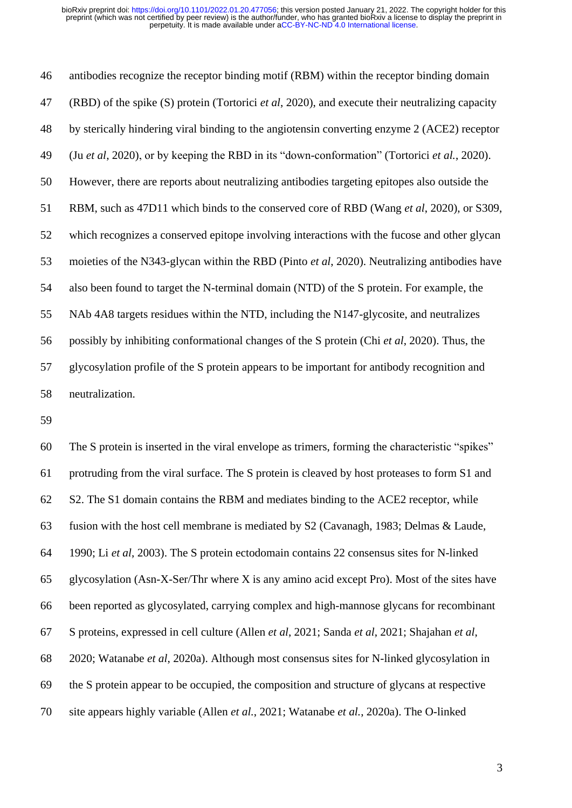antibodies recognize the receptor binding motif (RBM) within the receptor binding domain (RBD) of the spike (S) protein (Tortorici *et al*, 2020), and execute their neutralizing capacity by sterically hindering viral binding to the angiotensin converting enzyme 2 (ACE2) receptor (Ju *et al*, 2020), or by keeping the RBD in its "down-conformation" (Tortorici *et al.*, 2020). However, there are reports about neutralizing antibodies targeting epitopes also outside the RBM, such as 47D11 which binds to the conserved core of RBD (Wang *et al*, 2020), or S309, which recognizes a conserved epitope involving interactions with the fucose and other glycan moieties of the N343-glycan within the RBD (Pinto *et al*, 2020). Neutralizing antibodies have also been found to target the N-terminal domain (NTD) of the S protein. For example, the NAb 4A8 targets residues within the NTD, including the N147-glycosite, and neutralizes possibly by inhibiting conformational changes of the S protein (Chi *et al*, 2020). Thus, the glycosylation profile of the S protein appears to be important for antibody recognition and neutralization.

 The S protein is inserted in the viral envelope as trimers, forming the characteristic "spikes" protruding from the viral surface. The S protein is cleaved by host proteases to form S1 and S2. The S1 domain contains the RBM and mediates binding to the ACE2 receptor, while fusion with the host cell membrane is mediated by S2 (Cavanagh, 1983; Delmas & Laude, 1990; Li *et al*, 2003). The S protein ectodomain contains 22 consensus sites for N-linked glycosylation (Asn-X-Ser/Thr where X is any amino acid except Pro). Most of the sites have been reported as glycosylated, carrying complex and high-mannose glycans for recombinant S proteins, expressed in cell culture (Allen *et al*, 2021; Sanda *et al*, 2021; Shajahan *et al*, 2020; Watanabe *et al*, 2020a). Although most consensus sites for N-linked glycosylation in the S protein appear to be occupied, the composition and structure of glycans at respective site appears highly variable (Allen *et al.*, 2021; Watanabe *et al.*, 2020a). The O-linked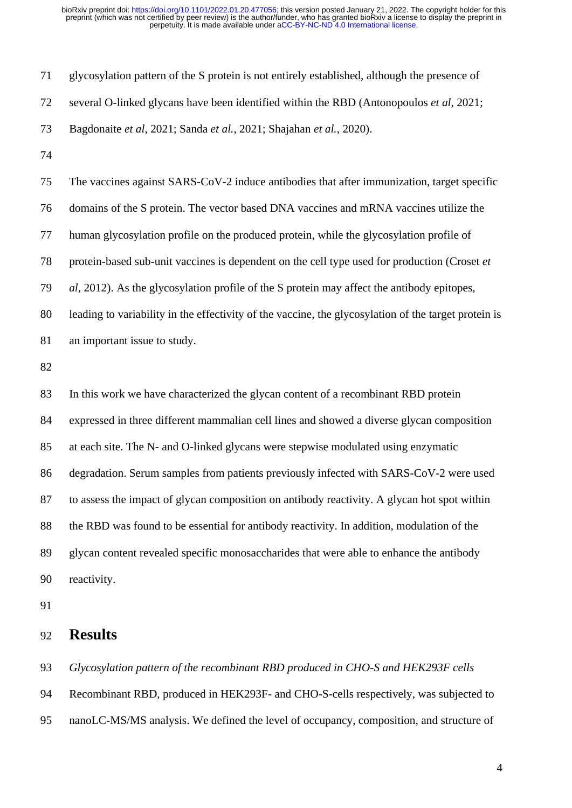| 71 | glycosylation pattern of the S protein is not entirely established, although the presence of         |
|----|------------------------------------------------------------------------------------------------------|
| 72 | several O-linked glycans have been identified within the RBD (Antonopoulos et al, 2021;              |
| 73 | Bagdonaite et al, 2021; Sanda et al., 2021; Shajahan et al., 2020).                                  |
| 74 |                                                                                                      |
| 75 | The vaccines against SARS-CoV-2 induce antibodies that after immunization, target specific           |
| 76 | domains of the S protein. The vector based DNA vaccines and mRNA vaccines utilize the                |
| 77 | human glycosylation profile on the produced protein, while the glycosylation profile of              |
| 78 | protein-based sub-unit vaccines is dependent on the cell type used for production (Croset et         |
| 79 | al, 2012). As the glycosylation profile of the S protein may affect the antibody epitopes,           |
| 80 | leading to variability in the effectivity of the vaccine, the glycosylation of the target protein is |
| 81 | an important issue to study.                                                                         |
| 82 |                                                                                                      |
| 83 | In this work we have characterized the glycan content of a recombinant RBD protein                   |
| 84 | expressed in three different mammalian cell lines and showed a diverse glycan composition            |
| 85 | at each site. The N- and O-linked glycans were stepwise modulated using enzymatic                    |
| 86 | degradation. Serum samples from patients previously infected with SARS-CoV-2 were used               |
| 87 | to assess the impact of glycan composition on antibody reactivity. A glycan hot spot within          |
| 88 | the RBD was found to be essential for antibody reactivity. In addition, modulation of the            |
| 89 | glycan content revealed specific monosaccharides that were able to enhance the antibody              |
| 90 | reactivity.                                                                                          |
| 91 |                                                                                                      |
| 92 | <b>Results</b>                                                                                       |
| 93 | Glycosylation pattern of the recombinant RBD produced in CHO-S and HEK293F cells                     |

 Recombinant RBD, produced in HEK293F- and CHO-S-cells respectively, was subjected to nanoLC-MS/MS analysis. We defined the level of occupancy, composition, and structure of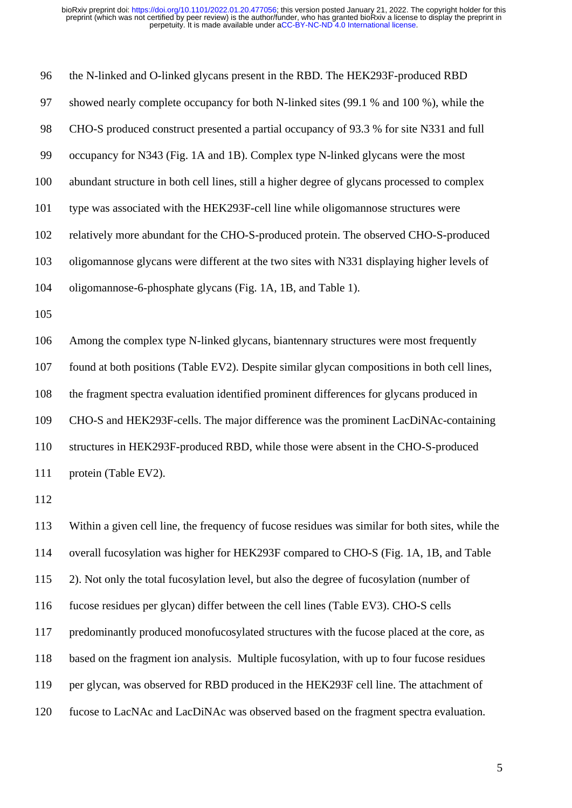the N-linked and O-linked glycans present in the RBD. The HEK293F-produced RBD showed nearly complete occupancy for both N-linked sites (99.1 % and 100 %), while the CHO-S produced construct presented a partial occupancy of 93.3 % for site N331 and full occupancy for N343 (Fig. 1A and 1B). Complex type N-linked glycans were the most abundant structure in both cell lines, still a higher degree of glycans processed to complex type was associated with the HEK293F-cell line while oligomannose structures were relatively more abundant for the CHO-S-produced protein. The observed CHO-S-produced oligomannose glycans were different at the two sites with N331 displaying higher levels of oligomannose-6-phosphate glycans (Fig. 1A, 1B, and Table 1). Among the complex type N-linked glycans, biantennary structures were most frequently found at both positions (Table EV2). Despite similar glycan compositions in both cell lines, the fragment spectra evaluation identified prominent differences for glycans produced in CHO-S and HEK293F-cells. The major difference was the prominent LacDiNAc-containing structures in HEK293F-produced RBD, while those were absent in the CHO-S-produced protein (Table EV2). Within a given cell line, the frequency of fucose residues was similar for both sites, while the overall fucosylation was higher for HEK293F compared to CHO-S (Fig. 1A, 1B, and Table 2). Not only the total fucosylation level, but also the degree of fucosylation (number of fucose residues per glycan) differ between the cell lines (Table EV3). CHO-S cells predominantly produced monofucosylated structures with the fucose placed at the core, as based on the fragment ion analysis. Multiple fucosylation, with up to four fucose residues

per glycan, was observed for RBD produced in the HEK293F cell line. The attachment of

fucose to LacNAc and LacDiNAc was observed based on the fragment spectra evaluation.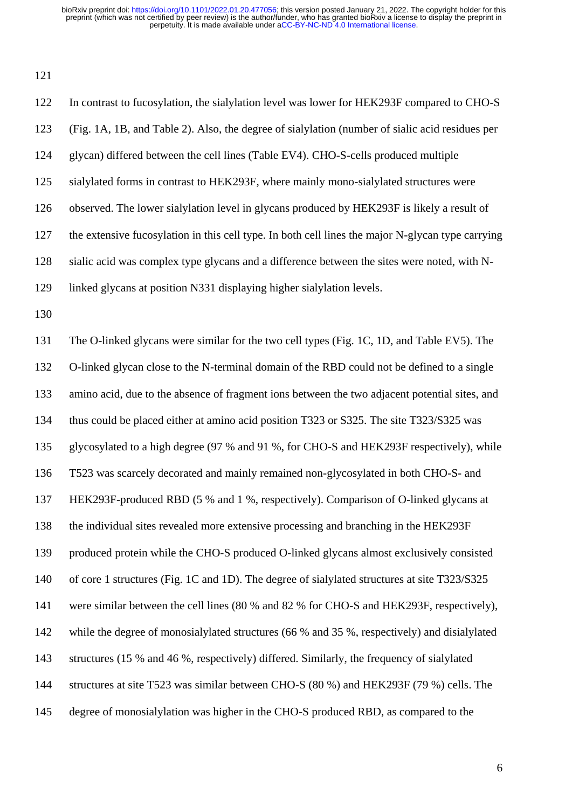| 122 | In contrast to fucosylation, the sialylation level was lower for HEK293F compared to CHO-S        |
|-----|---------------------------------------------------------------------------------------------------|
| 123 | (Fig. 1A, 1B, and Table 2). Also, the degree of sialylation (number of sialic acid residues per   |
| 124 | glycan) differed between the cell lines (Table EV4). CHO-S-cells produced multiple                |
| 125 | sialylated forms in contrast to HEK293F, where mainly mono-sialylated structures were             |
| 126 | observed. The lower sialylation level in glycans produced by HEK293F is likely a result of        |
| 127 | the extensive fucosylation in this cell type. In both cell lines the major N-glycan type carrying |
| 128 | sialic acid was complex type glycans and a difference between the sites were noted, with N-       |
| 129 | linked glycans at position N331 displaying higher sialylation levels.                             |
| 130 |                                                                                                   |
| 131 | The O-linked glycans were similar for the two cell types (Fig. 1C, 1D, and Table EV5). The        |
| 132 | O-linked glycan close to the N-terminal domain of the RBD could not be defined to a single        |
| 133 | amino acid, due to the absence of fragment ions between the two adjacent potential sites, and     |
| 134 | thus could be placed either at amino acid position T323 or S325. The site T323/S325 was           |
| 135 | glycosylated to a high degree (97 % and 91 %, for CHO-S and HEK293F respectively), while          |
| 136 | T523 was scarcely decorated and mainly remained non-glycosylated in both CHO-S- and               |
| 137 | HEK293F-produced RBD (5 % and 1 %, respectively). Comparison of O-linked glycans at               |
| 138 | the individual sites revealed more extensive processing and branching in the HEK293F              |
| 139 | produced protein while the CHO-S produced O-linked glycans almost exclusively consisted           |
| 140 | of core 1 structures (Fig. 1C and 1D). The degree of sialylated structures at site T323/S325      |
| 141 | were similar between the cell lines (80 % and 82 % for CHO-S and HEK293F, respectively),          |
| 142 | while the degree of monosialylated structures (66 % and 35 %, respectively) and disialylated      |
| 143 | structures (15 % and 46 %, respectively) differed. Similarly, the frequency of sialylated         |

structures at site T523 was similar between CHO-S (80 %) and HEK293F (79 %) cells. The

degree of monosialylation was higher in the CHO-S produced RBD, as compared to the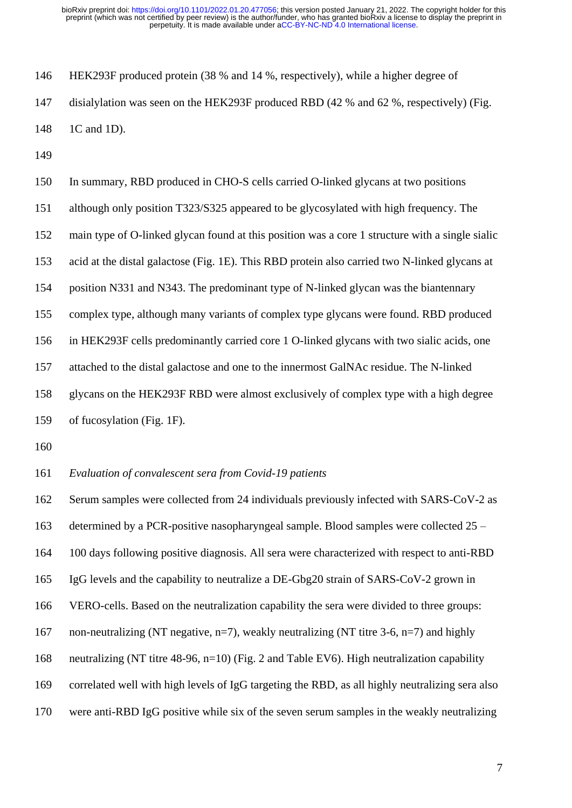HEK293F produced protein (38 % and 14 %, respectively), while a higher degree of disialylation was seen on the HEK293F produced RBD (42 % and 62 %, respectively) (Fig. 1C and 1D).

 In summary, RBD produced in CHO-S cells carried O-linked glycans at two positions although only position T323/S325 appeared to be glycosylated with high frequency. The main type of O-linked glycan found at this position was a core 1 structure with a single sialic acid at the distal galactose (Fig. 1E). This RBD protein also carried two N-linked glycans at position N331 and N343. The predominant type of N-linked glycan was the biantennary complex type, although many variants of complex type glycans were found. RBD produced in HEK293F cells predominantly carried core 1 O-linked glycans with two sialic acids, one attached to the distal galactose and one to the innermost GalNAc residue. The N-linked glycans on the HEK293F RBD were almost exclusively of complex type with a high degree of fucosylation (Fig. 1F).

*Evaluation of convalescent sera from Covid-19 patients* 

 Serum samples were collected from 24 individuals previously infected with SARS-CoV-2 as determined by a PCR-positive nasopharyngeal sample. Blood samples were collected 25 – 100 days following positive diagnosis. All sera were characterized with respect to anti-RBD IgG levels and the capability to neutralize a DE-Gbg20 strain of SARS-CoV-2 grown in VERO-cells. Based on the neutralization capability the sera were divided to three groups: 167 non-neutralizing (NT negative, n=7), weakly neutralizing (NT titre 3-6, n=7) and highly neutralizing (NT titre 48-96, n=10) (Fig. 2 and Table EV6). High neutralization capability correlated well with high levels of IgG targeting the RBD, as all highly neutralizing sera also were anti-RBD IgG positive while six of the seven serum samples in the weakly neutralizing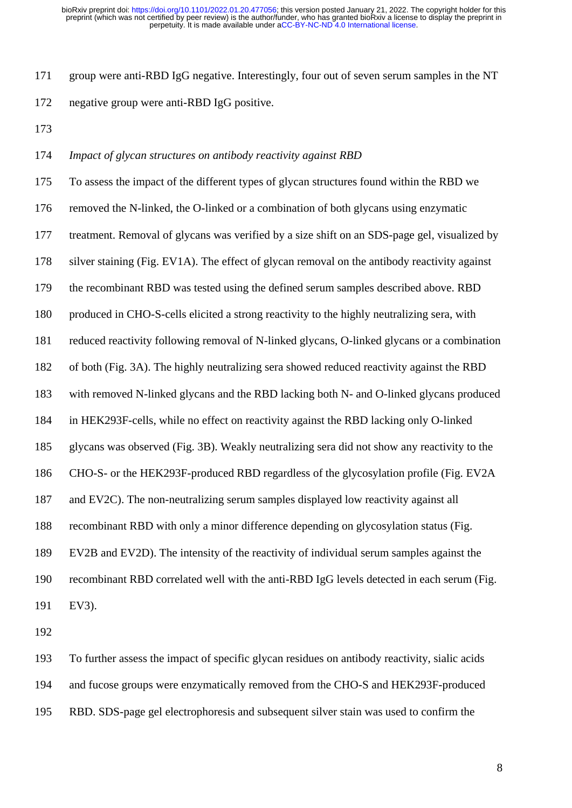group were anti-RBD IgG negative. Interestingly, four out of seven serum samples in the NT negative group were anti-RBD IgG positive.

*Impact of glycan structures on antibody reactivity against RBD*

 To assess the impact of the different types of glycan structures found within the RBD we removed the N-linked, the O-linked or a combination of both glycans using enzymatic treatment. Removal of glycans was verified by a size shift on an SDS-page gel, visualized by silver staining (Fig. EV1A). The effect of glycan removal on the antibody reactivity against the recombinant RBD was tested using the defined serum samples described above. RBD produced in CHO-S-cells elicited a strong reactivity to the highly neutralizing sera, with reduced reactivity following removal of N-linked glycans, O-linked glycans or a combination of both (Fig. 3A). The highly neutralizing sera showed reduced reactivity against the RBD with removed N-linked glycans and the RBD lacking both N- and O-linked glycans produced in HEK293F-cells, while no effect on reactivity against the RBD lacking only O-linked glycans was observed (Fig. 3B). Weakly neutralizing sera did not show any reactivity to the CHO-S- or the HEK293F-produced RBD regardless of the glycosylation profile (Fig. EV2A and EV2C). The non-neutralizing serum samples displayed low reactivity against all recombinant RBD with only a minor difference depending on glycosylation status (Fig. EV2B and EV2D). The intensity of the reactivity of individual serum samples against the recombinant RBD correlated well with the anti-RBD IgG levels detected in each serum (Fig. EV3).

 To further assess the impact of specific glycan residues on antibody reactivity, sialic acids and fucose groups were enzymatically removed from the CHO-S and HEK293F-produced RBD. SDS-page gel electrophoresis and subsequent silver stain was used to confirm the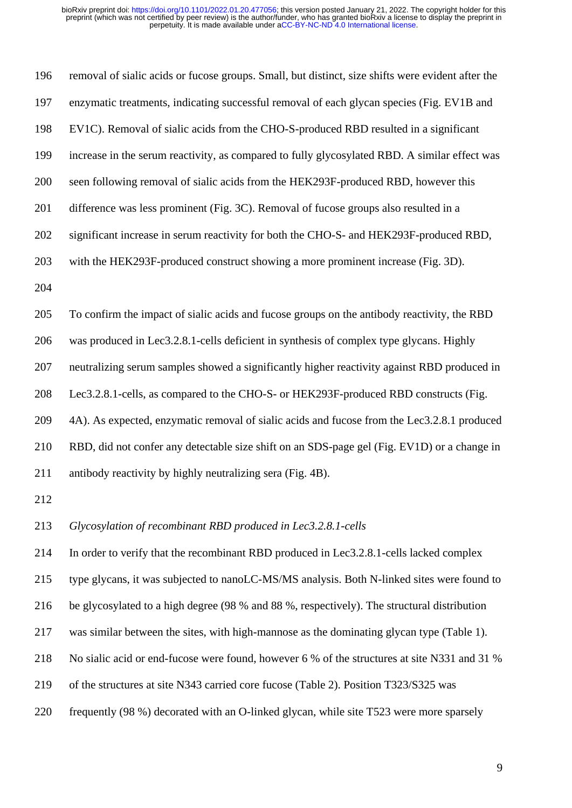| 196 | removal of sialic acids or fucose groups. Small, but distinct, size shifts were evident after the |
|-----|---------------------------------------------------------------------------------------------------|
| 197 | enzymatic treatments, indicating successful removal of each glycan species (Fig. EV1B and         |
| 198 | EV1C). Removal of sialic acids from the CHO-S-produced RBD resulted in a significant              |
| 199 | increase in the serum reactivity, as compared to fully glycosylated RBD. A similar effect was     |
| 200 | seen following removal of sialic acids from the HEK293F-produced RBD, however this                |
| 201 | difference was less prominent (Fig. 3C). Removal of fucose groups also resulted in a              |
| 202 | significant increase in serum reactivity for both the CHO-S- and HEK293F-produced RBD,            |
| 203 | with the HEK293F-produced construct showing a more prominent increase (Fig. 3D).                  |
| 204 |                                                                                                   |
| 205 | To confirm the impact of sialic acids and fucose groups on the antibody reactivity, the RBD       |
| 206 | was produced in Lec3.2.8.1-cells deficient in synthesis of complex type glycans. Highly           |
| 207 | neutralizing serum samples showed a significantly higher reactivity against RBD produced in       |
| 208 | Lec3.2.8.1-cells, as compared to the CHO-S- or HEK293F-produced RBD constructs (Fig.              |
| 209 | 4A). As expected, enzymatic removal of sialic acids and fucose from the Lec3.2.8.1 produced       |
| 210 | RBD, did not confer any detectable size shift on an SDS-page gel (Fig. EV1D) or a change in       |
| 211 | antibody reactivity by highly neutralizing sera (Fig. 4B).                                        |
| 212 |                                                                                                   |
| 213 | Glycosylation of recombinant RBD produced in Lec3.2.8.1-cells                                     |
| 214 | In order to verify that the recombinant RBD produced in Lec3.2.8.1-cells lacked complex           |
| 215 | type glycans, it was subjected to nanoLC-MS/MS analysis. Both N-linked sites were found to        |
| 216 | be glycosylated to a high degree (98 % and 88 %, respectively). The structural distribution       |
| 217 | was similar between the sites, with high-mannose as the dominating glycan type (Table 1).         |
| 218 | No sialic acid or end-fucose were found, however 6 % of the structures at site N331 and 31 %      |

- of the structures at site N343 carried core fucose (Table 2). Position T323/S325 was
- frequently (98 %) decorated with an O-linked glycan, while site T523 were more sparsely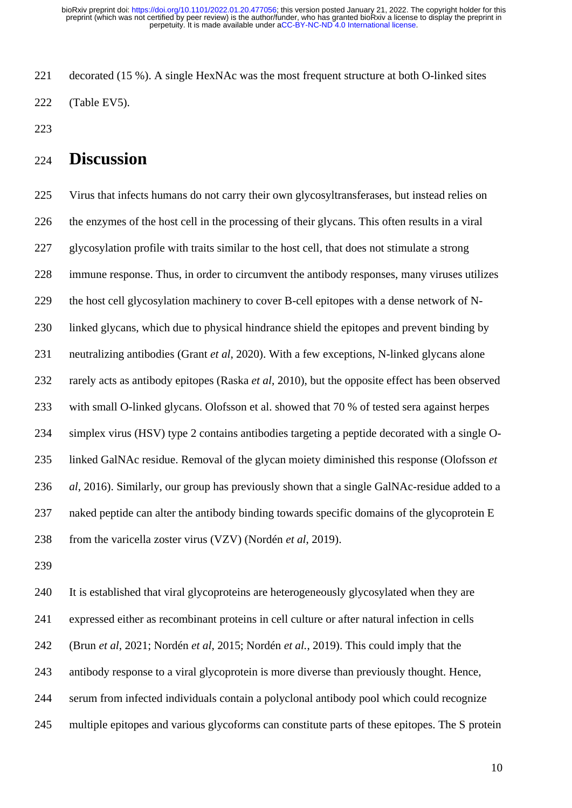decorated (15 %). A single HexNAc was the most frequent structure at both O-linked sites (Table EV5).

# **Discussion**

 Virus that infects humans do not carry their own glycosyltransferases, but instead relies on the enzymes of the host cell in the processing of their glycans. This often results in a viral glycosylation profile with traits similar to the host cell, that does not stimulate a strong immune response. Thus, in order to circumvent the antibody responses, many viruses utilizes the host cell glycosylation machinery to cover B-cell epitopes with a dense network of N- linked glycans, which due to physical hindrance shield the epitopes and prevent binding by neutralizing antibodies (Grant *et al*, 2020). With a few exceptions, N-linked glycans alone rarely acts as antibody epitopes (Raska *et al*, 2010), but the opposite effect has been observed with small O-linked glycans. Olofsson et al. showed that 70 % of tested sera against herpes simplex virus (HSV) type 2 contains antibodies targeting a peptide decorated with a single O- linked GalNAc residue. Removal of the glycan moiety diminished this response (Olofsson *et al*, 2016). Similarly, our group has previously shown that a single GalNAc-residue added to a naked peptide can alter the antibody binding towards specific domains of the glycoprotein E from the varicella zoster virus (VZV) (Nordén *et al*, 2019).

 It is established that viral glycoproteins are heterogeneously glycosylated when they are expressed either as recombinant proteins in cell culture or after natural infection in cells (Brun *et al*, 2021; Nordén *et al*, 2015; Nordén *et al.*, 2019). This could imply that the antibody response to a viral glycoprotein is more diverse than previously thought. Hence, serum from infected individuals contain a polyclonal antibody pool which could recognize multiple epitopes and various glycoforms can constitute parts of these epitopes. The S protein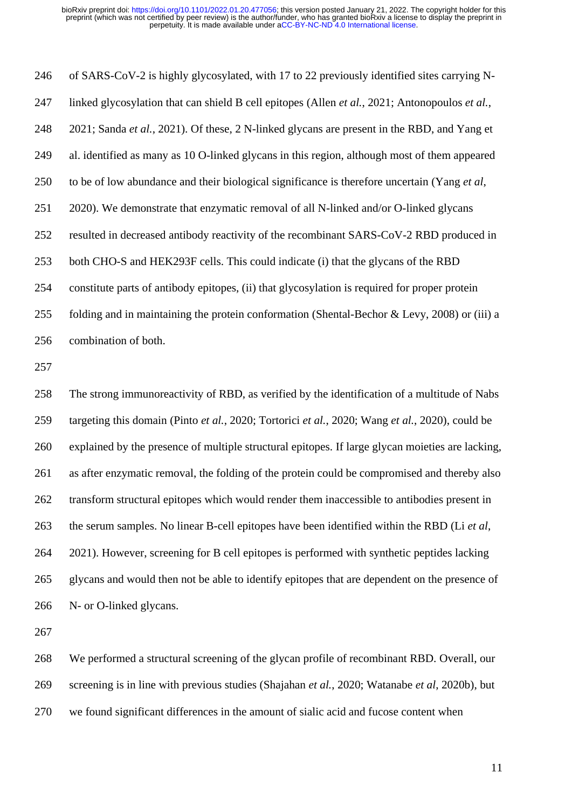of SARS-CoV-2 is highly glycosylated, with 17 to 22 previously identified sites carrying N- linked glycosylation that can shield B cell epitopes (Allen *et al.*, 2021; Antonopoulos *et al.*, 2021; Sanda *et al.*, 2021). Of these, 2 N-linked glycans are present in the RBD, and Yang et al. identified as many as 10 O-linked glycans in this region, although most of them appeared to be of low abundance and their biological significance is therefore uncertain (Yang *et al*, 2020). We demonstrate that enzymatic removal of all N-linked and/or O-linked glycans resulted in decreased antibody reactivity of the recombinant SARS-CoV-2 RBD produced in both CHO-S and HEK293F cells. This could indicate (i) that the glycans of the RBD constitute parts of antibody epitopes, (ii) that glycosylation is required for proper protein folding and in maintaining the protein conformation (Shental-Bechor & Levy, 2008) or (iii) a combination of both. The strong immunoreactivity of RBD, as verified by the identification of a multitude of Nabs

 targeting this domain (Pinto *et al.*, 2020; Tortorici *et al.*, 2020; Wang *et al.*, 2020), could be explained by the presence of multiple structural epitopes. If large glycan moieties are lacking, as after enzymatic removal, the folding of the protein could be compromised and thereby also transform structural epitopes which would render them inaccessible to antibodies present in the serum samples. No linear B-cell epitopes have been identified within the RBD (Li *et al*, 2021). However, screening for B cell epitopes is performed with synthetic peptides lacking glycans and would then not be able to identify epitopes that are dependent on the presence of N- or O-linked glycans.

 We performed a structural screening of the glycan profile of recombinant RBD. Overall, our screening is in line with previous studies (Shajahan *et al.*, 2020; Watanabe *et al*, 2020b), but we found significant differences in the amount of sialic acid and fucose content when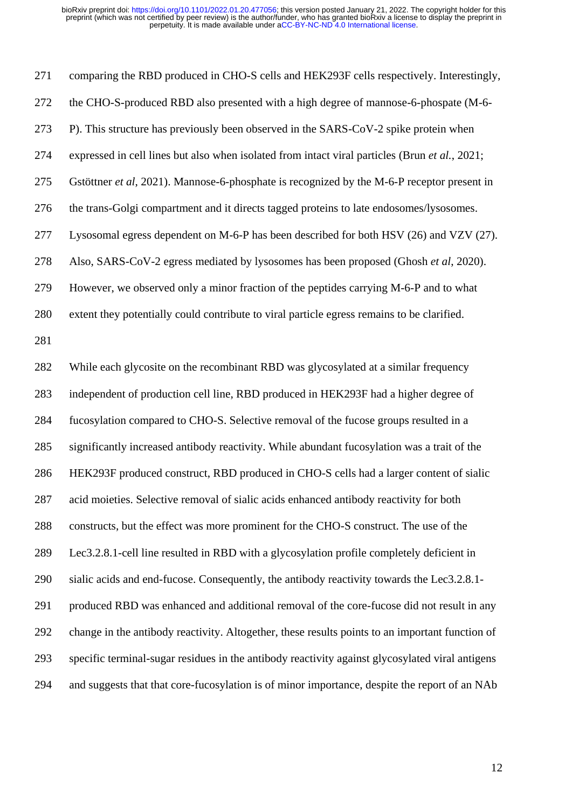comparing the RBD produced in CHO-S cells and HEK293F cells respectively. Interestingly, the CHO-S-produced RBD also presented with a high degree of mannose-6-phospate (M-6- P). This structure has previously been observed in the SARS-CoV-2 spike protein when expressed in cell lines but also when isolated from intact viral particles (Brun *et al.*, 2021; Gstöttner *et al*, 2021). Mannose-6-phosphate is recognized by the M-6-P receptor present in the trans-Golgi compartment and it directs tagged proteins to late endosomes/lysosomes. Lysosomal egress dependent on M-6-P has been described for both HSV (26) and VZV (27). Also, SARS-CoV-2 egress mediated by lysosomes has been proposed (Ghosh *et al*, 2020). However, we observed only a minor fraction of the peptides carrying M-6-P and to what extent they potentially could contribute to viral particle egress remains to be clarified. While each glycosite on the recombinant RBD was glycosylated at a similar frequency independent of production cell line, RBD produced in HEK293F had a higher degree of fucosylation compared to CHO-S. Selective removal of the fucose groups resulted in a significantly increased antibody reactivity. While abundant fucosylation was a trait of the HEK293F produced construct, RBD produced in CHO-S cells had a larger content of sialic acid moieties. Selective removal of sialic acids enhanced antibody reactivity for both constructs, but the effect was more prominent for the CHO-S construct. The use of the Lec3.2.8.1-cell line resulted in RBD with a glycosylation profile completely deficient in sialic acids and end-fucose. Consequently, the antibody reactivity towards the Lec3.2.8.1- produced RBD was enhanced and additional removal of the core-fucose did not result in any change in the antibody reactivity. Altogether, these results points to an important function of specific terminal-sugar residues in the antibody reactivity against glycosylated viral antigens and suggests that that core-fucosylation is of minor importance, despite the report of an NAb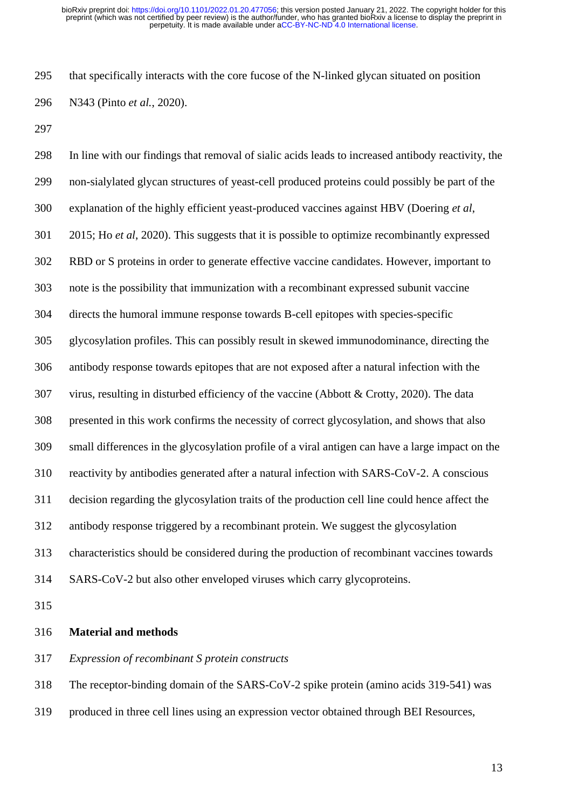that specifically interacts with the core fucose of the N-linked glycan situated on position N343 (Pinto *et al.*, 2020).

 In line with our findings that removal of sialic acids leads to increased antibody reactivity, the non-sialylated glycan structures of yeast-cell produced proteins could possibly be part of the explanation of the highly efficient yeast-produced vaccines against HBV (Doering *et al*, 2015; Ho *et al*, 2020). This suggests that it is possible to optimize recombinantly expressed RBD or S proteins in order to generate effective vaccine candidates. However, important to note is the possibility that immunization with a recombinant expressed subunit vaccine directs the humoral immune response towards B-cell epitopes with species-specific glycosylation profiles. This can possibly result in skewed immunodominance, directing the antibody response towards epitopes that are not exposed after a natural infection with the virus, resulting in disturbed efficiency of the vaccine (Abbott & Crotty, 2020). The data presented in this work confirms the necessity of correct glycosylation, and shows that also small differences in the glycosylation profile of a viral antigen can have a large impact on the reactivity by antibodies generated after a natural infection with SARS-CoV-2. A conscious decision regarding the glycosylation traits of the production cell line could hence affect the antibody response triggered by a recombinant protein. We suggest the glycosylation characteristics should be considered during the production of recombinant vaccines towards SARS-CoV-2 but also other enveloped viruses which carry glycoproteins.

### **Material and methods**

*Expression of recombinant S protein constructs*

The receptor-binding domain of the SARS-CoV-2 spike protein (amino acids 319-541) was

produced in three cell lines using an expression vector obtained through BEI Resources,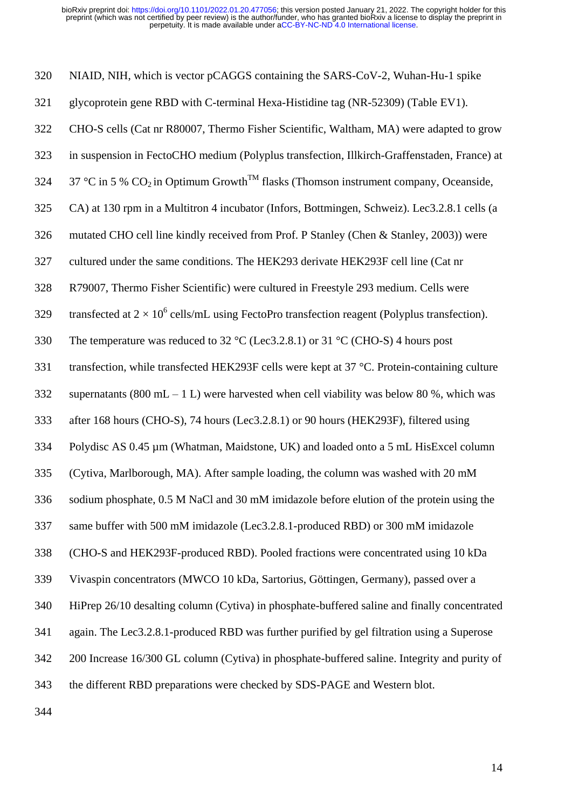NIAID, NIH, which is vector pCAGGS containing the SARS-CoV-2, Wuhan-Hu-1 spike glycoprotein gene RBD with C-terminal Hexa-Histidine tag (NR-52309) (Table EV1). CHO-S cells (Cat nr R80007, Thermo Fisher Scientific, Waltham, MA) were adapted to grow in suspension in FectoCHO medium (Polyplus transfection, Illkirch-Graffenstaden, France) at 324 37 °C in 5 %  $CO_2$  in Optimum Growth<sup>TM</sup> flasks (Thomson instrument company, Oceanside, CA) at 130 rpm in a Multitron 4 incubator (Infors, Bottmingen, Schweiz). Lec3.2.8.1 cells (a mutated CHO cell line kindly received from Prof. P Stanley (Chen & Stanley, 2003)) were cultured under the same conditions. The HEK293 derivate HEK293F cell line (Cat nr R79007, Thermo Fisher Scientific) were cultured in Freestyle 293 medium. Cells were 329 transfected at  $2 \times 10^6$  cells/mL using FectoPro transfection reagent (Polyplus transfection). The temperature was reduced to 32 °C (Lec3.2.8.1) or 31 °C (CHO-S) 4 hours post 331 transfection, while transfected HEK293F cells were kept at 37 °C. Protein-containing culture 332 supernatants (800 mL – 1 L) were harvested when cell viability was below 80 %, which was after 168 hours (CHO-S), 74 hours (Lec3.2.8.1) or 90 hours (HEK293F), filtered using Polydisc AS 0.45 µm (Whatman, Maidstone, UK) and loaded onto a 5 mL HisExcel column (Cytiva, Marlborough, MA). After sample loading, the column was washed with 20 mM sodium phosphate, 0.5 M NaCl and 30 mM imidazole before elution of the protein using the same buffer with 500 mM imidazole (Lec3.2.8.1-produced RBD) or 300 mM imidazole (CHO-S and HEK293F-produced RBD). Pooled fractions were concentrated using 10 kDa Vivaspin concentrators (MWCO 10 kDa, Sartorius, Göttingen, Germany), passed over a HiPrep 26/10 desalting column (Cytiva) in phosphate-buffered saline and finally concentrated again. The Lec3.2.8.1-produced RBD was further purified by gel filtration using a Superose 200 Increase 16/300 GL column (Cytiva) in phosphate-buffered saline. Integrity and purity of the different RBD preparations were checked by SDS-PAGE and Western blot.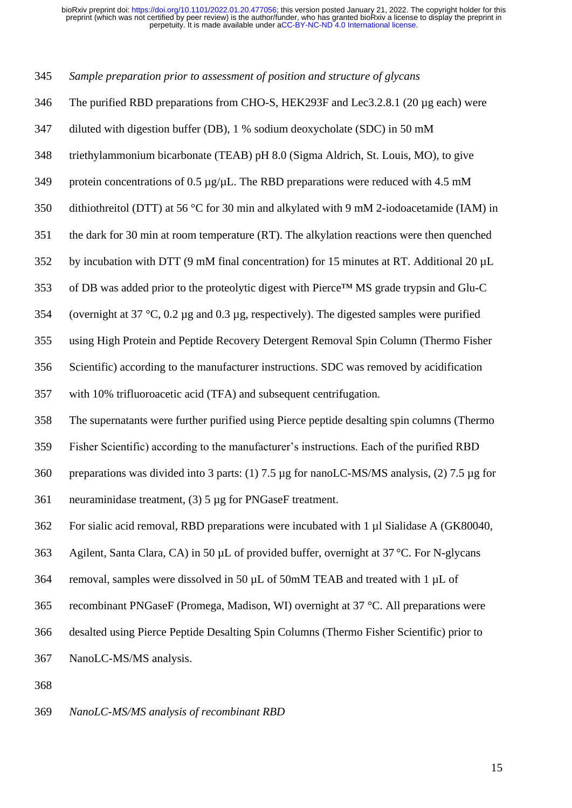*Sample preparation prior to assessment of position and structure of glycans* 

- The purified RBD preparations from CHO-S, HEK293F and Lec3.2.8.1 (20 µg each) were
- diluted with digestion buffer (DB), 1 % sodium deoxycholate (SDC) in 50 mM
- triethylammonium bicarbonate (TEAB) pH 8.0 (Sigma Aldrich, St. Louis, MO), to give
- 349 protein concentrations of 0.5  $\mu$ g/ $\mu$ L. The RBD preparations were reduced with 4.5 mM
- dithiothreitol (DTT) at 56 °C for 30 min and alkylated with 9 mM 2-iodoacetamide (IAM) in
- the dark for 30 min at room temperature (RT). The alkylation reactions were then quenched
- by incubation with DTT (9 mM final concentration) for 15 minutes at RT. Additional 20 µL
- of DB was added prior to the proteolytic digest with Pierce™ MS grade trypsin and Glu-C
- (overnight at 37 °C, 0.2 µg and 0.3 µg, respectively). The digested samples were purified
- using High Protein and Peptide Recovery Detergent Removal Spin Column (Thermo Fisher
- Scientific) according to the manufacturer instructions. SDC was removed by acidification
- with 10% trifluoroacetic acid (TFA) and subsequent centrifugation.
- The supernatants were further purified using Pierce peptide desalting spin columns (Thermo
- Fisher Scientific) according to the manufacturer's instructions. Each of the purified RBD
- preparations was divided into 3 parts: (1) 7.5 µg for nanoLC-MS/MS analysis, (2) 7.5 µg for
- neuraminidase treatment, (3) 5 µg for PNGaseF treatment.
- For sialic acid removal, RBD preparations were incubated with 1 µl Sialidase A (GK80040,
- Agilent, Santa Clara, CA) in 50 µL of provided buffer, overnight at 37 °C. For N-glycans
- 364 removal, samples were dissolved in 50  $\mu$ L of 50mM TEAB and treated with 1  $\mu$ L of
- recombinant PNGaseF (Promega, Madison, WI) overnight at 37 °C. All preparations were
- desalted using Pierce Peptide Desalting Spin Columns (Thermo Fisher Scientific) prior to
- NanoLC-MS/MS analysis.
- 

## *NanoLC-MS/MS analysis of recombinant RBD*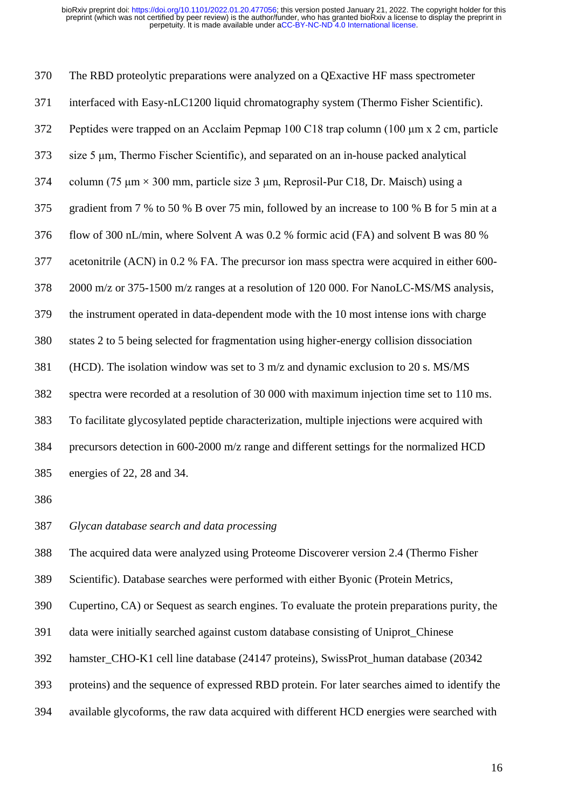The RBD proteolytic preparations were analyzed on a QExactive HF mass spectrometer interfaced with Easy-nLC1200 liquid chromatography system (Thermo Fisher Scientific). Peptides were trapped on an Acclaim Pepmap 100 C18 trap column (100 μm x 2 cm, particle size 5 μm, Thermo Fischer Scientific), and separated on an in-house packed analytical column (75 μm × 300 mm, particle size 3 μm, Reprosil-Pur C18, Dr. Maisch) using a gradient from 7 % to 50 % B over 75 min, followed by an increase to 100 % B for 5 min at a flow of 300 nL/min, where Solvent A was 0.2 % formic acid (FA) and solvent B was 80 % acetonitrile (ACN) in 0.2 % FA. The precursor ion mass spectra were acquired in either 600- 2000 m/z or 375-1500 m/z ranges at a resolution of 120 000. For NanoLC-MS/MS analysis, the instrument operated in data-dependent mode with the 10 most intense ions with charge states 2 to 5 being selected for fragmentation using higher-energy collision dissociation (HCD). The isolation window was set to 3 m/z and dynamic exclusion to 20 s. MS/MS spectra were recorded at a resolution of 30 000 with maximum injection time set to 110 ms. To facilitate glycosylated peptide characterization, multiple injections were acquired with precursors detection in 600-2000 m/z range and different settings for the normalized HCD energies of 22, 28 and 34.

*Glycan database search and data processing* 

The acquired data were analyzed using Proteome Discoverer version 2.4 (Thermo Fisher

Scientific). Database searches were performed with either Byonic (Protein Metrics,

Cupertino, CA) or Sequest as search engines. To evaluate the protein preparations purity, the

data were initially searched against custom database consisting of Uniprot\_Chinese

hamster\_CHO-K1 cell line database (24147 proteins), SwissProt\_human database (20342

proteins) and the sequence of expressed RBD protein. For later searches aimed to identify the

available glycoforms, the raw data acquired with different HCD energies were searched with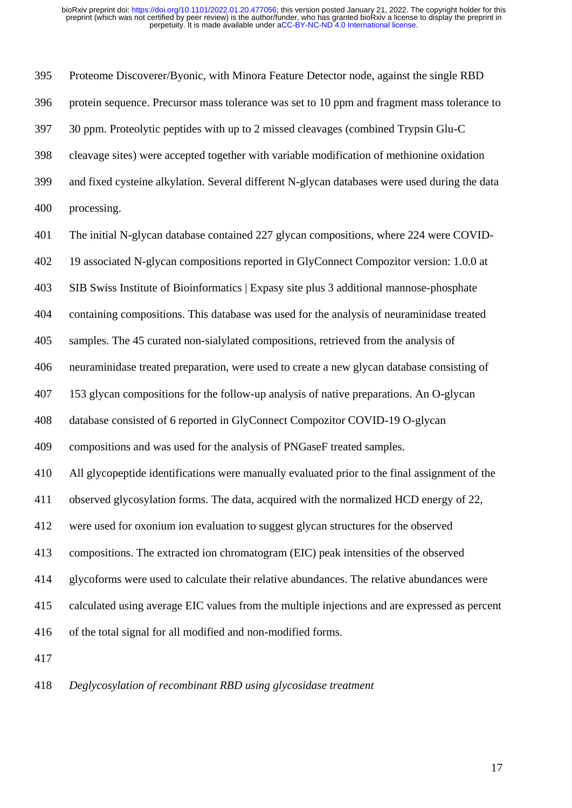Proteome Discoverer/Byonic, with Minora Feature Detector node, against the single RBD protein sequence. Precursor mass tolerance was set to 10 ppm and fragment mass tolerance to 30 ppm. Proteolytic peptides with up to 2 missed cleavages (combined Trypsin Glu-C cleavage sites) were accepted together with variable modification of methionine oxidation and fixed cysteine alkylation. Several different N-glycan databases were used during the data processing. The initial N-glycan database contained 227 glycan compositions, where 224 were COVID- 19 associated N-glycan compositions reported in GlyConnect Compozitor version: 1.0.0 at SIB Swiss Institute of Bioinformatics | Expasy site plus 3 additional mannose-phosphate containing compositions. This database was used for the analysis of neuraminidase treated samples. The 45 curated non-sialylated compositions, retrieved from the analysis of neuraminidase treated preparation, were used to create a new glycan database consisting of 153 glycan compositions for the follow-up analysis of native preparations. An O-glycan database consisted of 6 reported in GlyConnect Compozitor COVID-19 O-glycan compositions and was used for the analysis of PNGaseF treated samples. All glycopeptide identifications were manually evaluated prior to the final assignment of the observed glycosylation forms. The data, acquired with the normalized HCD energy of 22, were used for oxonium ion evaluation to suggest glycan structures for the observed compositions. The extracted ion chromatogram (EIC) peak intensities of the observed glycoforms were used to calculate their relative abundances. The relative abundances were calculated using average EIC values from the multiple injections and are expressed as percent of the total signal for all modified and non-modified forms. 

*Deglycosylation of recombinant RBD using glycosidase treatment*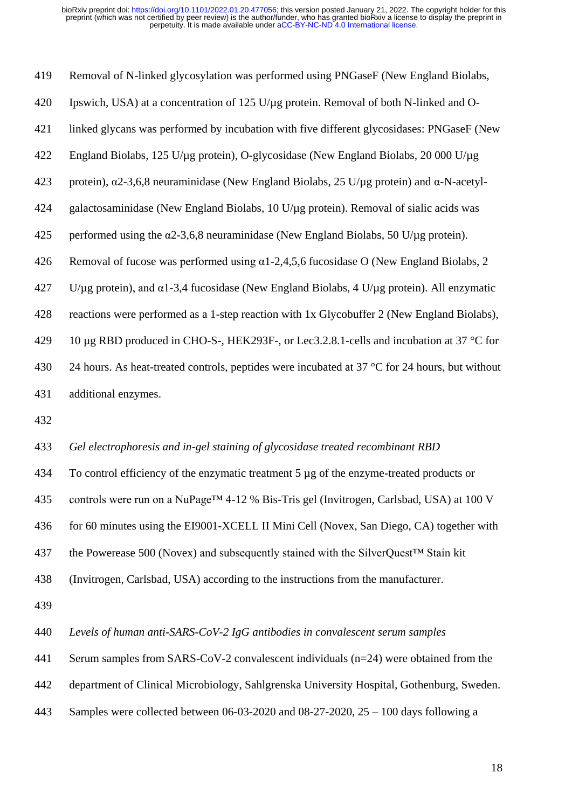| 419 | Removal of N-linked glycosylation was performed using PNGaseF (New England Biolabs,                     |
|-----|---------------------------------------------------------------------------------------------------------|
| 420 | Ipswich, USA) at a concentration of 125 U/µg protein. Removal of both N-linked and O-                   |
| 421 | linked glycans was performed by incubation with five different glycosidases: PNGaseF (New               |
| 422 | England Biolabs, 125 U/µg protein), O-glycosidase (New England Biolabs, 20 000 U/µg                     |
| 423 | protein), $\alpha$ 2-3,6,8 neuraminidase (New England Biolabs, 25 U/µg protein) and $\alpha$ -N-acetyl- |
| 424 | galactosaminidase (New England Biolabs, 10 U/µg protein). Removal of sialic acids was                   |
| 425 | performed using the $\alpha$ 2-3,6,8 neuraminidase (New England Biolabs, 50 U/ $\mu$ g protein).        |
| 426 | Removal of fucose was performed using $\alpha$ 1-2,4,5,6 fucosidase O (New England Biolabs, 2)          |
| 427 | U/µg protein), and $\alpha$ 1-3,4 fucosidase (New England Biolabs, 4 U/µg protein). All enzymatic       |
| 428 | reactions were performed as a 1-step reaction with 1x Glycobuffer 2 (New England Biolabs),              |
| 429 | 10 μg RBD produced in CHO-S-, HEK293F-, or Lec3.2.8.1-cells and incubation at 37 °C for                 |
| 430 | 24 hours. As heat-treated controls, peptides were incubated at $37^{\circ}$ C for 24 hours, but without |
| 431 | additional enzymes.                                                                                     |
|     |                                                                                                         |

## *Gel electrophoresis and in-gel staining of glycosidase treated recombinant RBD*

 To control efficiency of the enzymatic treatment 5 µg of the enzyme-treated products or controls were run on a NuPage™ 4-12 % Bis-Tris gel (Invitrogen, Carlsbad, USA) at 100 V for 60 minutes using the EI9001-XCELL II Mini Cell (Novex, San Diego, CA) together with the Powerease 500 (Novex) and subsequently stained with the SilverQuest™ Stain kit

(Invitrogen, Carlsbad, USA) according to the instructions from the manufacturer.

*Levels of human anti-SARS-CoV-2 IgG antibodies in convalescent serum samples*

Serum samples from SARS-CoV-2 convalescent individuals (n=24) were obtained from the

department of Clinical Microbiology, Sahlgrenska University Hospital, Gothenburg, Sweden.

Samples were collected between 06-03-2020 and 08-27-2020, 25 – 100 days following a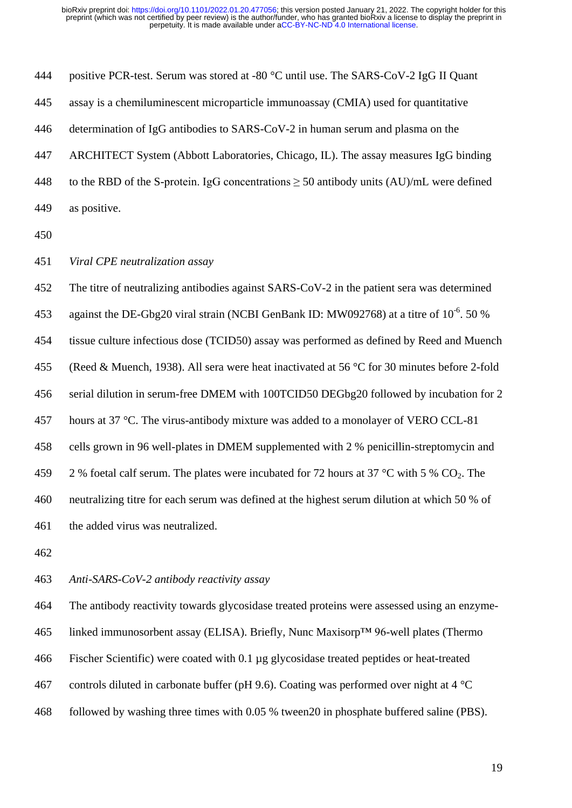| 444 | positive PCR-test. Serum was stored at -80 °C until use. The SARS-CoV-2 IgG II Quant          |
|-----|-----------------------------------------------------------------------------------------------|
| 445 | assay is a chemiluminescent microparticle immunoassay (CMIA) used for quantitative            |
| 446 | determination of IgG antibodies to SARS-CoV-2 in human serum and plasma on the                |
| 447 | ARCHITECT System (Abbott Laboratories, Chicago, IL). The assay measures IgG binding           |
| 448 | to the RBD of the S-protein. IgG concentrations $\geq$ 50 antibody units (AU)/mL were defined |
| 449 | as positive.                                                                                  |

*Viral CPE neutralization assay* 

 The titre of neutralizing antibodies against SARS-CoV-2 in the patient sera was determined 453 against the DE-Gbg20 viral strain (NCBI GenBank ID: MW092768) at a titre of  $10^{-6}$ . 50 % tissue culture infectious dose (TCID50) assay was performed as defined by Reed and Muench (Reed & Muench, 1938). All sera were heat inactivated at 56 °C for 30 minutes before 2-fold serial dilution in serum-free DMEM with 100TCID50 DEGbg20 followed by incubation for 2 457 hours at 37 °C. The virus-antibody mixture was added to a monolayer of VERO CCL-81 cells grown in 96 well-plates in DMEM supplemented with 2 % penicillin-streptomycin and 459 2 % foetal calf serum. The plates were incubated for 72 hours at 37 °C with 5 %  $CO_2$ . The neutralizing titre for each serum was defined at the highest serum dilution at which 50 % of the added virus was neutralized.

## *Anti-SARS-CoV-2 antibody reactivity assay*

 The antibody reactivity towards glycosidase treated proteins were assessed using an enzyme- linked immunosorbent assay (ELISA). Briefly, Nunc Maxisorp™ 96-well plates (Thermo Fischer Scientific) were coated with 0.1 µg glycosidase treated peptides or heat-treated 467 controls diluted in carbonate buffer (pH 9.6). Coating was performed over night at  $4^{\circ}$ C followed by washing three times with 0.05 % tween20 in phosphate buffered saline (PBS).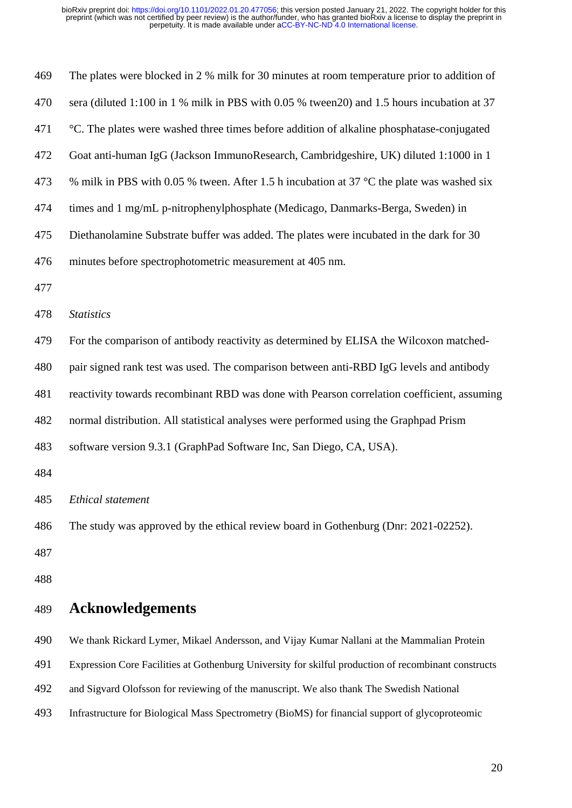| 469 | The plates were blocked in 2 % milk for 30 minutes at room temperature prior to addition of          |
|-----|------------------------------------------------------------------------------------------------------|
| 470 | sera (diluted 1:100 in 1 % milk in PBS with 0.05 % tween 20) and 1.5 hours incubation at 37          |
| 471 | °C. The plates were washed three times before addition of alkaline phosphatase-conjugated            |
| 472 | Goat anti-human IgG (Jackson ImmunoResearch, Cambridgeshire, UK) diluted 1:1000 in 1                 |
| 473 | % milk in PBS with 0.05 % tween. After 1.5 h incubation at 37 °C the plate was washed six            |
| 474 | times and 1 mg/mL p-nitrophenylphosphate (Medicago, Danmarks-Berga, Sweden) in                       |
| 475 | Diethanolamine Substrate buffer was added. The plates were incubated in the dark for 30              |
| 476 | minutes before spectrophotometric measurement at 405 nm.                                             |
| 477 |                                                                                                      |
| 478 | <b>Statistics</b>                                                                                    |
| 479 | For the comparison of antibody reactivity as determined by ELISA the Wilcoxon matched-               |
| 480 | pair signed rank test was used. The comparison between anti-RBD IgG levels and antibody              |
| 481 | reactivity towards recombinant RBD was done with Pearson correlation coefficient, assuming           |
| 482 | normal distribution. All statistical analyses were performed using the Graphpad Prism                |
| 483 | software version 9.3.1 (GraphPad Software Inc, San Diego, CA, USA).                                  |
| 484 |                                                                                                      |
| 485 | Ethical statement                                                                                    |
| 486 | The study was approved by the ethical review board in Gothenburg (Dnr: 2021-02252).                  |
| 487 |                                                                                                      |
| 488 |                                                                                                      |
| 489 | <b>Acknowledgements</b>                                                                              |
| 490 | We thank Rickard Lymer, Mikael Andersson, and Vijay Kumar Nallani at the Mammalian Protein           |
| 491 | Expression Core Facilities at Gothenburg University for skilful production of recombinant constructs |
| 492 | and Sigvard Olofsson for reviewing of the manuscript. We also thank The Swedish National             |
| 493 | Infrastructure for Biological Mass Spectrometry (BioMS) for financial support of glycoproteomic      |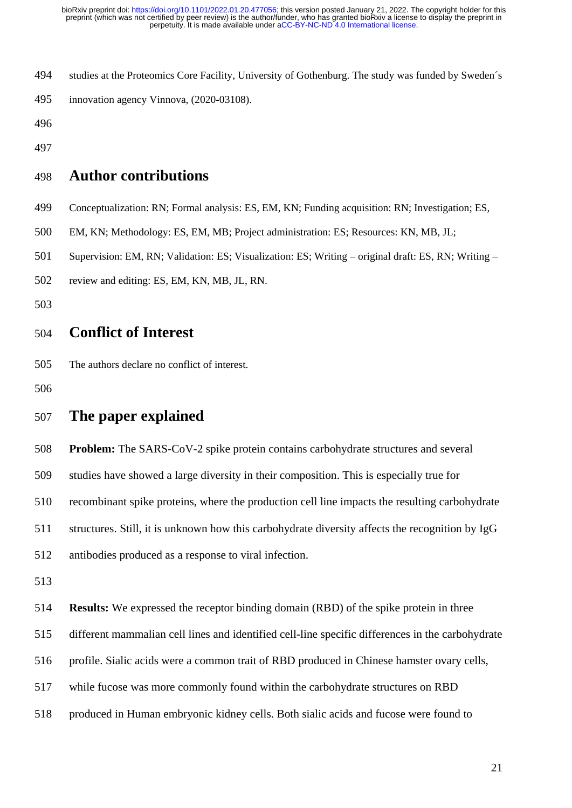- studies at the Proteomics Core Facility, University of Gothenburg. The study was funded by Sweden´s innovation agency Vinnova, (2020-03108).
- 
- 

# **Author contributions**

- Conceptualization: RN; Formal analysis: ES, EM, KN; Funding acquisition: RN; Investigation; ES,
- EM, KN; Methodology: ES, EM, MB; Project administration: ES; Resources: KN, MB, JL;
- Supervision: EM, RN; Validation: ES; Visualization: ES; Writing original draft: ES, RN; Writing –
- review and editing: ES, EM, KN, MB, JL, RN.
- 

# **Conflict of Interest**

- The authors declare no conflict of interest.
- 

# **The paper explained**

**Problem:** The SARS-CoV-2 spike protein contains carbohydrate structures and several

studies have showed a large diversity in their composition. This is especially true for

recombinant spike proteins, where the production cell line impacts the resulting carbohydrate

structures. Still, it is unknown how this carbohydrate diversity affects the recognition by IgG

antibodies produced as a response to viral infection.

- 
- **Results:** We expressed the receptor binding domain (RBD) of the spike protein in three

different mammalian cell lines and identified cell-line specific differences in the carbohydrate

- profile. Sialic acids were a common trait of RBD produced in Chinese hamster ovary cells,
- while fucose was more commonly found within the carbohydrate structures on RBD
- produced in Human embryonic kidney cells. Both sialic acids and fucose were found to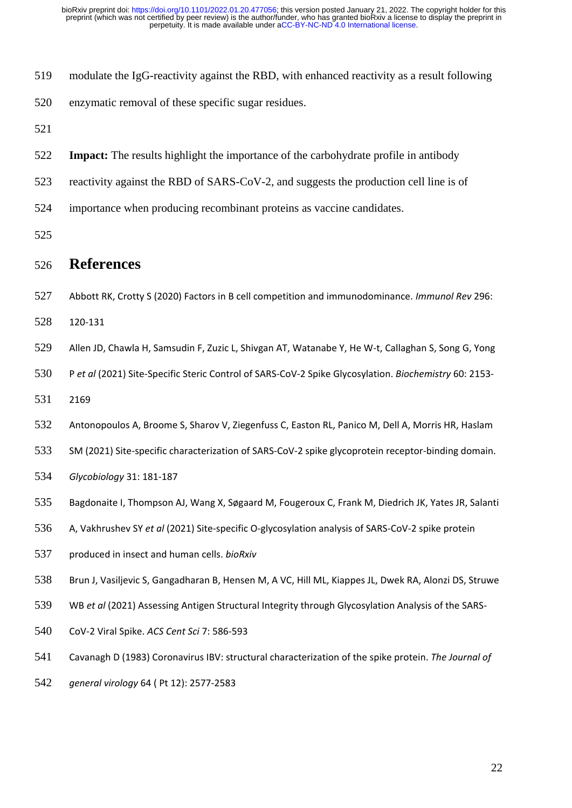| 519 | modulate the IgG-reactivity against the RBD, with enhanced reactivity as a result following    |
|-----|------------------------------------------------------------------------------------------------|
| 520 | enzymatic removal of these specific sugar residues.                                            |
| 521 |                                                                                                |
| 522 | <b>Impact:</b> The results highlight the importance of the carbohydrate profile in antibody    |
| 523 | reactivity against the RBD of SARS-CoV-2, and suggests the production cell line is of          |
| 524 | importance when producing recombinant proteins as vaccine candidates.                          |
| 525 |                                                                                                |
| 526 | <b>References</b>                                                                              |
| 527 | Abbott RK, Crotty S (2020) Factors in B cell competition and immunodominance. Immunol Rev 296: |
| 528 | 120-131                                                                                        |

Allen JD, Chawla H, Samsudin F, Zuzic L, Shivgan AT, Watanabe Y, He W-t, Callaghan S, Song G, Yong

P *et al* (2021) Site-Specific Steric Control of SARS-CoV-2 Spike Glycosylation. *Biochemistry* 60: 2153-

2169

Antonopoulos A, Broome S, Sharov V, Ziegenfuss C, Easton RL, Panico M, Dell A, Morris HR, Haslam

SM (2021) Site-specific characterization of SARS-CoV-2 spike glycoprotein receptor-binding domain.

*Glycobiology* 31: 181-187

Bagdonaite I, Thompson AJ, Wang X, Søgaard M, Fougeroux C, Frank M, Diedrich JK, Yates JR, Salanti

A, Vakhrushev SY *et al* (2021) Site-specific O-glycosylation analysis of SARS-CoV-2 spike protein

produced in insect and human cells. *bioRxiv*

Brun J, Vasiljevic S, Gangadharan B, Hensen M, A VC, Hill ML, Kiappes JL, Dwek RA, Alonzi DS, Struwe

WB *et al* (2021) Assessing Antigen Structural Integrity through Glycosylation Analysis of the SARS-

CoV-2 Viral Spike. *ACS Cent Sci* 7: 586-593

Cavanagh D (1983) Coronavirus IBV: structural characterization of the spike protein. *The Journal of* 

*general virology* 64 ( Pt 12): 2577-2583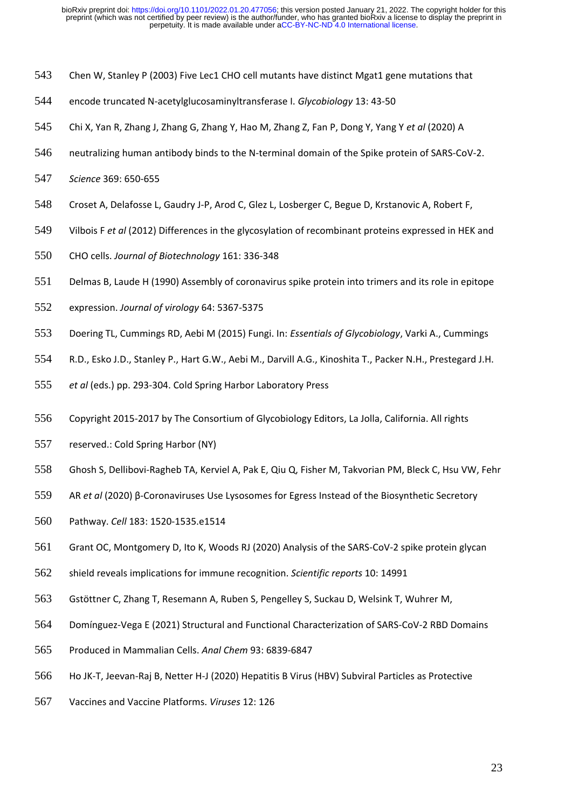- Chen W, Stanley P (2003) Five Lec1 CHO cell mutants have distinct Mgat1 gene mutations that
- encode truncated N-acetylglucosaminyltransferase I. *Glycobiology* 13: 43-50
- Chi X, Yan R, Zhang J, Zhang G, Zhang Y, Hao M, Zhang Z, Fan P, Dong Y, Yang Y *et al* (2020) A
- neutralizing human antibody binds to the N-terminal domain of the Spike protein of SARS-CoV-2.
- *Science* 369: 650-655
- Croset A, Delafosse L, Gaudry J-P, Arod C, Glez L, Losberger C, Begue D, Krstanovic A, Robert F,
- Vilbois F *et al* (2012) Differences in the glycosylation of recombinant proteins expressed in HEK and
- CHO cells. *Journal of Biotechnology* 161: 336-348
- Delmas B, Laude H (1990) Assembly of coronavirus spike protein into trimers and its role in epitope
- expression. *Journal of virology* 64: 5367-5375
- Doering TL, Cummings RD, Aebi M (2015) Fungi. In: *Essentials of Glycobiology*, Varki A., Cummings
- R.D., Esko J.D., Stanley P., Hart G.W., Aebi M., Darvill A.G., Kinoshita T., Packer N.H., Prestegard J.H.
- *et al* (eds.) pp. 293-304. Cold Spring Harbor Laboratory Press
- Copyright 2015-2017 by The Consortium of Glycobiology Editors, La Jolla, California. All rights
- reserved.: Cold Spring Harbor (NY)
- Ghosh S, Dellibovi-Ragheb TA, Kerviel A, Pak E, Qiu Q, Fisher M, Takvorian PM, Bleck C, Hsu VW, Fehr
- AR *et al* (2020) β-Coronaviruses Use Lysosomes for Egress Instead of the Biosynthetic Secretory
- Pathway. *Cell* 183: 1520-1535.e1514
- Grant OC, Montgomery D, Ito K, Woods RJ (2020) Analysis of the SARS-CoV-2 spike protein glycan
- shield reveals implications for immune recognition. *Scientific reports* 10: 14991
- Gstöttner C, Zhang T, Resemann A, Ruben S, Pengelley S, Suckau D, Welsink T, Wuhrer M,
- Domínguez-Vega E (2021) Structural and Functional Characterization of SARS-CoV-2 RBD Domains
- Produced in Mammalian Cells. *Anal Chem* 93: 6839-6847
- Ho JK-T, Jeevan-Raj B, Netter H-J (2020) Hepatitis B Virus (HBV) Subviral Particles as Protective
- Vaccines and Vaccine Platforms. *Viruses* 12: 126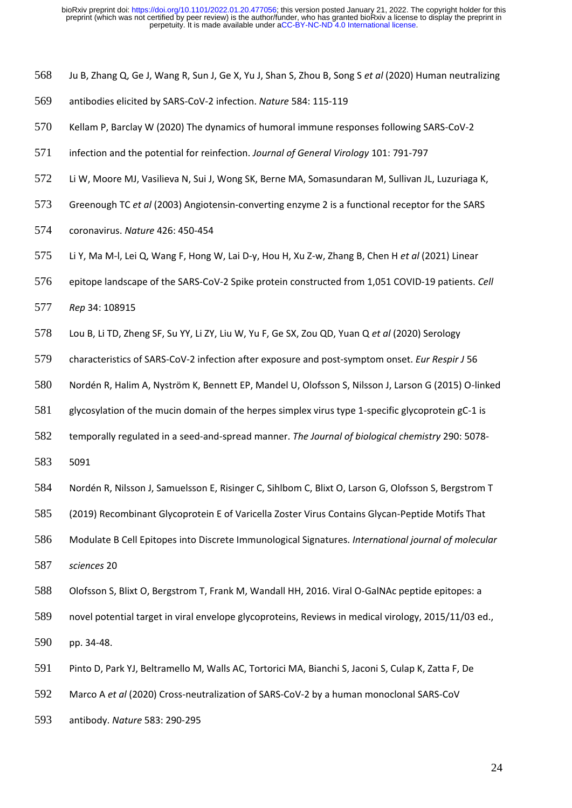- Ju B, Zhang Q, Ge J, Wang R, Sun J, Ge X, Yu J, Shan S, Zhou B, Song S *et al* (2020) Human neutralizing
- antibodies elicited by SARS-CoV-2 infection. *Nature* 584: 115-119
- Kellam P, Barclay W (2020) The dynamics of humoral immune responses following SARS-CoV-2
- infection and the potential for reinfection. *Journal of General Virology* 101: 791-797
- Li W, Moore MJ, Vasilieva N, Sui J, Wong SK, Berne MA, Somasundaran M, Sullivan JL, Luzuriaga K,
- Greenough TC *et al* (2003) Angiotensin-converting enzyme 2 is a functional receptor for the SARS
- coronavirus. *Nature* 426: 450-454
- Li Y, Ma M-l, Lei Q, Wang F, Hong W, Lai D-y, Hou H, Xu Z-w, Zhang B, Chen H *et al* (2021) Linear
- epitope landscape of the SARS-CoV-2 Spike protein constructed from 1,051 COVID-19 patients. *Cell*
- *Rep* 34: 108915
- Lou B, Li TD, Zheng SF, Su YY, Li ZY, Liu W, Yu F, Ge SX, Zou QD, Yuan Q *et al* (2020) Serology
- characteristics of SARS-CoV-2 infection after exposure and post-symptom onset. *Eur Respir J* 56
- Nordén R, Halim A, Nyström K, Bennett EP, Mandel U, Olofsson S, Nilsson J, Larson G (2015) O-linked
- glycosylation of the mucin domain of the herpes simplex virus type 1-specific glycoprotein gC-1 is
- temporally regulated in a seed-and-spread manner. *The Journal of biological chemistry* 290: 5078-
- 5091
- Nordén R, Nilsson J, Samuelsson E, Risinger C, Sihlbom C, Blixt O, Larson G, Olofsson S, Bergstrom T
- (2019) Recombinant Glycoprotein E of Varicella Zoster Virus Contains Glycan-Peptide Motifs That
- Modulate B Cell Epitopes into Discrete Immunological Signatures. *International journal of molecular*
- *sciences* 20
- Olofsson S, Blixt O, Bergstrom T, Frank M, Wandall HH, 2016. Viral O-GalNAc peptide epitopes: a
- novel potential target in viral envelope glycoproteins, Reviews in medical virology, 2015/11/03 ed.,
- pp. 34-48.
- Pinto D, Park YJ, Beltramello M, Walls AC, Tortorici MA, Bianchi S, Jaconi S, Culap K, Zatta F, De
- Marco A *et al* (2020) Cross-neutralization of SARS-CoV-2 by a human monoclonal SARS-CoV
- antibody. *Nature* 583: 290-295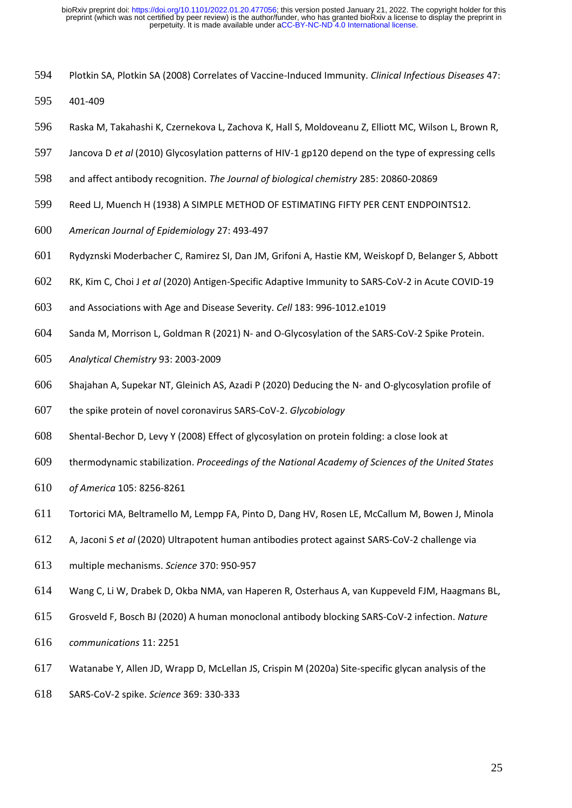- Plotkin SA, Plotkin SA (2008) Correlates of Vaccine-Induced Immunity. *Clinical Infectious Diseases* 47:
- 401-409
- Raska M, Takahashi K, Czernekova L, Zachova K, Hall S, Moldoveanu Z, Elliott MC, Wilson L, Brown R,
- Jancova D *et al* (2010) Glycosylation patterns of HIV-1 gp120 depend on the type of expressing cells
- and affect antibody recognition. *The Journal of biological chemistry* 285: 20860-20869
- Reed LJ, Muench H (1938) A SIMPLE METHOD OF ESTIMATING FIFTY PER CENT ENDPOINTS12.
- *American Journal of Epidemiology* 27: 493-497
- Rydyznski Moderbacher C, Ramirez SI, Dan JM, Grifoni A, Hastie KM, Weiskopf D, Belanger S, Abbott
- RK, Kim C, Choi J *et al* (2020) Antigen-Specific Adaptive Immunity to SARS-CoV-2 in Acute COVID-19
- and Associations with Age and Disease Severity. *Cell* 183: 996-1012.e1019
- Sanda M, Morrison L, Goldman R (2021) N- and O-Glycosylation of the SARS-CoV-2 Spike Protein.
- *Analytical Chemistry* 93: 2003-2009
- Shajahan A, Supekar NT, Gleinich AS, Azadi P (2020) Deducing the N- and O-glycosylation profile of
- the spike protein of novel coronavirus SARS-CoV-2. *Glycobiology*
- Shental-Bechor D, Levy Y (2008) Effect of glycosylation on protein folding: a close look at
- thermodynamic stabilization. *Proceedings of the National Academy of Sciences of the United States*
- *of America* 105: 8256-8261
- Tortorici MA, Beltramello M, Lempp FA, Pinto D, Dang HV, Rosen LE, McCallum M, Bowen J, Minola
- A, Jaconi S *et al* (2020) Ultrapotent human antibodies protect against SARS-CoV-2 challenge via
- multiple mechanisms. *Science* 370: 950-957
- Wang C, Li W, Drabek D, Okba NMA, van Haperen R, Osterhaus A, van Kuppeveld FJM, Haagmans BL,
- Grosveld F, Bosch BJ (2020) A human monoclonal antibody blocking SARS-CoV-2 infection. *Nature*
- *communications* 11: 2251
- Watanabe Y, Allen JD, Wrapp D, McLellan JS, Crispin M (2020a) Site-specific glycan analysis of the
- SARS-CoV-2 spike. *Science* 369: 330-333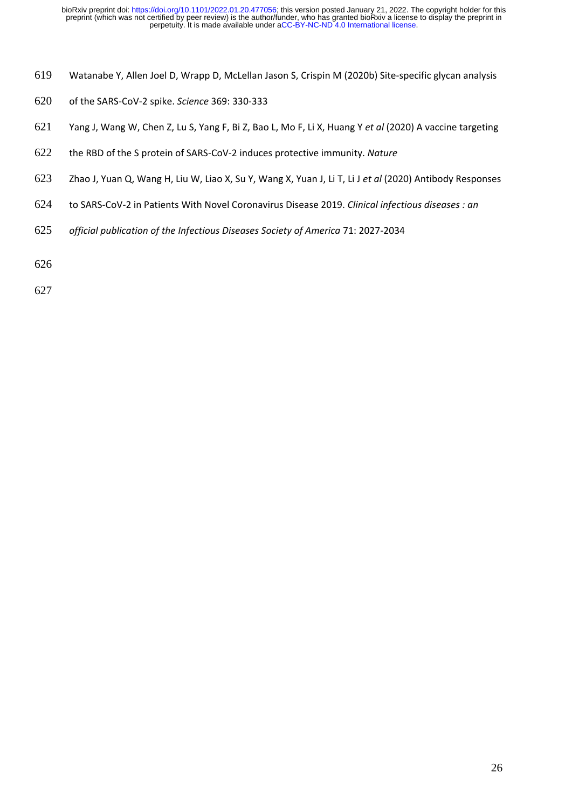- Watanabe Y, Allen Joel D, Wrapp D, McLellan Jason S, Crispin M (2020b) Site-specific glycan analysis
- of the SARS-CoV-2 spike. *Science* 369: 330-333
- Yang J, Wang W, Chen Z, Lu S, Yang F, Bi Z, Bao L, Mo F, Li X, Huang Y *et al* (2020) A vaccine targeting
- the RBD of the S protein of SARS-CoV-2 induces protective immunity. *Nature*
- Zhao J, Yuan Q, Wang H, Liu W, Liao X, Su Y, Wang X, Yuan J, Li T, Li J *et al* (2020) Antibody Responses
- to SARS-CoV-2 in Patients With Novel Coronavirus Disease 2019. *Clinical infectious diseases : an*
- *official publication of the Infectious Diseases Society of America* 71: 2027-2034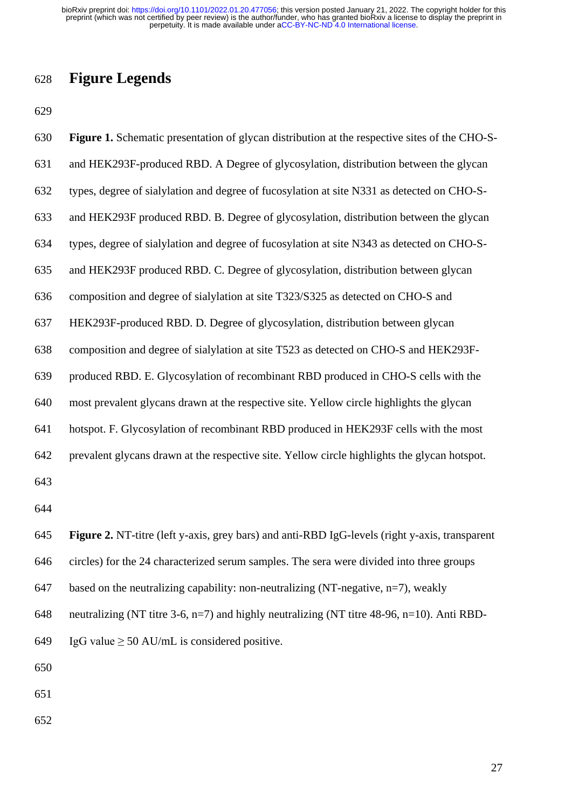# **Figure Legends**

| 630 | Figure 1. Schematic presentation of glycan distribution at the respective sites of the CHO-S-    |
|-----|--------------------------------------------------------------------------------------------------|
| 631 | and HEK293F-produced RBD. A Degree of glycosylation, distribution between the glycan             |
| 632 | types, degree of sialylation and degree of fucosylation at site N331 as detected on CHO-S-       |
| 633 | and HEK293F produced RBD. B. Degree of glycosylation, distribution between the glycan            |
| 634 | types, degree of sialylation and degree of fucosylation at site N343 as detected on CHO-S-       |
| 635 | and HEK293F produced RBD. C. Degree of glycosylation, distribution between glycan                |
| 636 | composition and degree of sialylation at site T323/S325 as detected on CHO-S and                 |
| 637 | HEK293F-produced RBD. D. Degree of glycosylation, distribution between glycan                    |
| 638 | composition and degree of sialylation at site T523 as detected on CHO-S and HEK293F-             |
| 639 | produced RBD. E. Glycosylation of recombinant RBD produced in CHO-S cells with the               |
| 640 | most prevalent glycans drawn at the respective site. Yellow circle highlights the glycan         |
| 641 | hotspot. F. Glycosylation of recombinant RBD produced in HEK293F cells with the most             |
| 642 | prevalent glycans drawn at the respective site. Yellow circle highlights the glycan hotspot.     |
| 643 |                                                                                                  |
| 644 |                                                                                                  |
| 645 | Figure 2. NT-titre (left y-axis, grey bars) and anti-RBD IgG-levels (right y-axis, transparent   |
| 646 | circles) for the 24 characterized serum samples. The sera were divided into three groups         |
| 647 | based on the neutralizing capability: non-neutralizing (NT-negative, $n=7$ ), weakly             |
| 648 | neutralizing (NT titre 3-6, $n=7$ ) and highly neutralizing (NT titre 48-96, $n=10$ ). Anti RBD- |
| 649 | IgG value $\geq$ 50 AU/mL is considered positive.                                                |
| 650 |                                                                                                  |
|     |                                                                                                  |

- 
-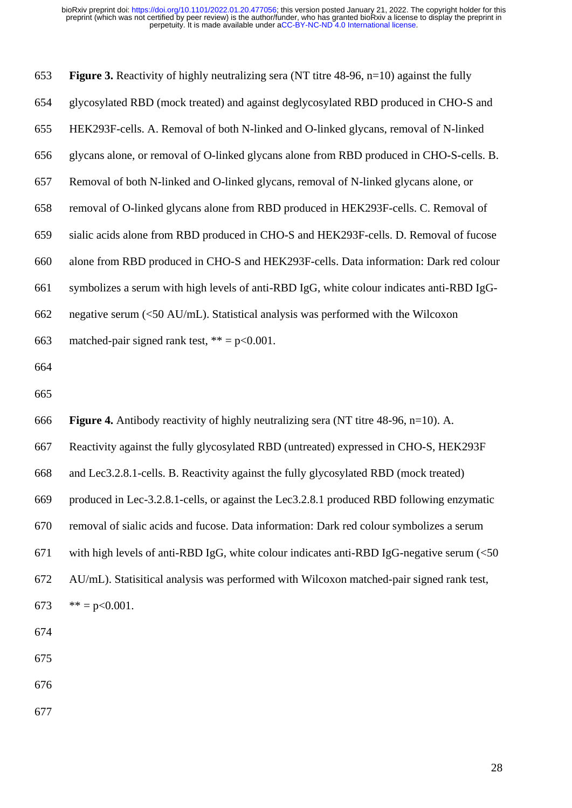| 653 | <b>Figure 3.</b> Reactivity of highly neutralizing sera (NT titre $48-96$ , $n=10$ ) against the fully |
|-----|--------------------------------------------------------------------------------------------------------|
| 654 | glycosylated RBD (mock treated) and against deglycosylated RBD produced in CHO-S and                   |
| 655 | HEK293F-cells. A. Removal of both N-linked and O-linked glycans, removal of N-linked                   |
| 656 | glycans alone, or removal of O-linked glycans alone from RBD produced in CHO-S-cells. B.               |
| 657 | Removal of both N-linked and O-linked glycans, removal of N-linked glycans alone, or                   |
| 658 | removal of O-linked glycans alone from RBD produced in HEK293F-cells. C. Removal of                    |
| 659 | sialic acids alone from RBD produced in CHO-S and HEK293F-cells. D. Removal of fucose                  |
| 660 | alone from RBD produced in CHO-S and HEK293F-cells. Data information: Dark red colour                  |
| 661 | symbolizes a serum with high levels of anti-RBD IgG, white colour indicates anti-RBD IgG-              |
| 662 | negative serum $\langle$ <50 AU/mL). Statistical analysis was performed with the Wilcoxon              |
| 663 | matched-pair signed rank test, $** = p < 0.001$ .                                                      |
| 664 |                                                                                                        |
| 665 |                                                                                                        |
| 666 | <b>Figure 4.</b> Antibody reactivity of highly neutralizing sera (NT titre 48-96, n=10). A.            |
| 667 | Reactivity against the fully glycosylated RBD (untreated) expressed in CHO-S, HEK293F                  |
| 668 | and Lec3.2.8.1-cells. B. Reactivity against the fully glycosylated RBD (mock treated)                  |
| 669 | produced in Lec-3.2.8.1-cells, or against the Lec3.2.8.1 produced RBD following enzymatic              |
| 670 | removal of sialic acids and fucose. Data information: Dark red colour symbolizes a serum               |
| 671 | with high levels of anti-RBD IgG, white colour indicates anti-RBD IgG-negative serum (<50              |
| 672 | AU/mL). Statisitical analysis was performed with Wilcoxon matched-pair signed rank test,               |
| 673 | $** = p < 0.001$ .                                                                                     |
|     |                                                                                                        |
| 674 |                                                                                                        |
| 675 |                                                                                                        |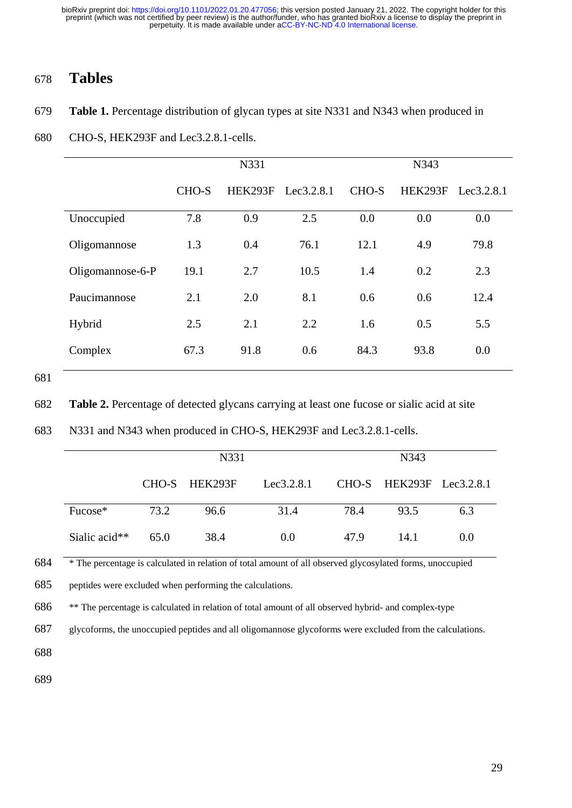# 678 **Tables**

## 679 **Table 1.** Percentage distribution of glycan types at site N331 and N343 when produced in

### 680 CHO-S, HEK293F and Lec3.2.8.1-cells.

|                  | N331  |         |            | N343  |         |            |
|------------------|-------|---------|------------|-------|---------|------------|
|                  | CHO-S | HEK293F | Lee3.2.8.1 | CHO-S | HEK293F | Lee3.2.8.1 |
| Unoccupied       | 7.8   | 0.9     | 2.5        | 0.0   | 0.0     | 0.0        |
| Oligomannose     | 1.3   | 0.4     | 76.1       | 12.1  | 4.9     | 79.8       |
| Oligomannose-6-P | 19.1  | 2.7     | 10.5       | 1.4   | 0.2     | 2.3        |
| Paucimannose     | 2.1   | 2.0     | 8.1        | 0.6   | 0.6     | 12.4       |
| Hybrid           | 2.5   | 2.1     | 2.2        | 1.6   | 0.5     | 5.5        |
| Complex          | 67.3  | 91.8    | 0.6        | 84.3  | 93.8    | 0.0        |

<sup>681</sup>

682 **Table 2.** Percentage of detected glycans carrying at least one fucose or sialic acid at site

| 683 |  |  | N331 and N343 when produced in CHO-S, HEK293F and Lec3.2.8.1-cells. |
|-----|--|--|---------------------------------------------------------------------|
|-----|--|--|---------------------------------------------------------------------|

|               | N331 |               |            | N343 |                            |     |
|---------------|------|---------------|------------|------|----------------------------|-----|
|               |      | CHO-S HEK293F | Lee3.2.8.1 |      | $CHO-S$ HEK293F Lec3.2.8.1 |     |
| Fucose*       | 73.2 | 96.6          | 31.4       | 78.4 | 93.5                       | 6.3 |
| Sialic acid** | 65.0 | 38.4          | 0.0        | 47.9 | 14.1                       | 0.0 |

684 \* The percentage is calculated in relation of total amount of all observed glycosylated forms, unoccupied

685 peptides were excluded when performing the calculations.

686 \*\* The percentage is calculated in relation of total amount of all observed hybrid- and complex-type

687 glycoforms, the unoccupied peptides and all oligomannose glycoforms were excluded from the calculations.

688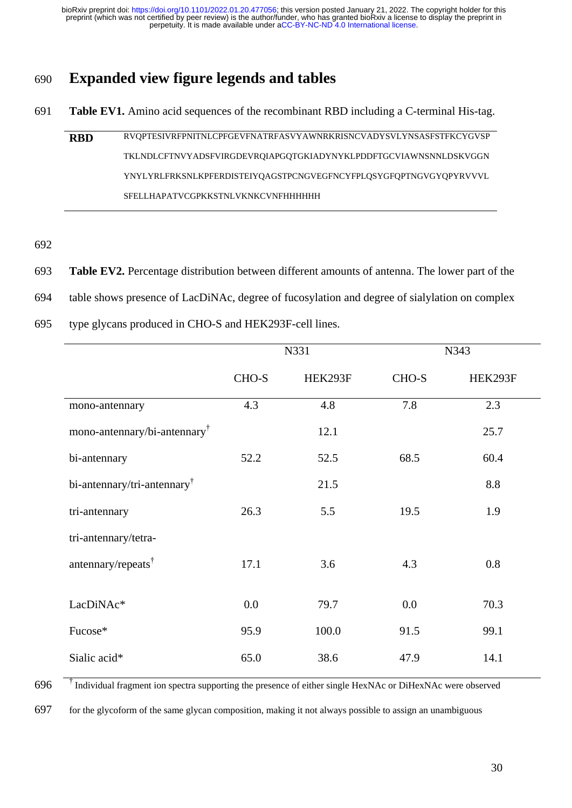# 690 **Expanded view figure legends and tables**

- 691 **Table EV1.** Amino acid sequences of the recombinant RBD including a C-terminal His-tag.
	- **RBD** RVQPTESIVRFPNITNLCPFGEVFNATRFASVYAWNRKRISNCVADYSVLYNSASFSTFKCYGVSP TKLNDLCFTNVYADSFVIRGDEVRQIAPGQTGKIADYNYKLPDDFTGCVIAWNSNNLDSKVGGN YNYLYRLFRKSNLKPFERDISTEIYQAGSTPCNGVEGFNCYFPLQSYGFQPTNGVGYQPYRVVVL SFELLHAPATVCGPKKSTNLVKNKCVNFHHHHHH
- 692
- 693 **Table EV2.** Percentage distribution between different amounts of antenna. The lower part of the
- 694 table shows presence of LacDiNAc, degree of fucosylation and degree of sialylation on complex
- 695 type glycans produced in CHO-S and HEK293F-cell lines.

|                                          | N331  |         |       | N343    |  |
|------------------------------------------|-------|---------|-------|---------|--|
|                                          | CHO-S | HEK293F | CHO-S | HEK293F |  |
| mono-antennary                           | 4.3   | 4.8     | 7.8   | 2.3     |  |
| mono-antennary/bi-antennary <sup>†</sup> |       | 12.1    |       | 25.7    |  |
| bi-antennary                             | 52.2  | 52.5    | 68.5  | 60.4    |  |
| bi-antennary/tri-antennary $^{\dagger}$  |       | 21.5    |       | 8.8     |  |
| tri-antennary                            | 26.3  | 5.5     | 19.5  | 1.9     |  |
| tri-antennary/tetra-                     |       |         |       |         |  |
| antennary/repeats <sup>†</sup>           | 17.1  | 3.6     | 4.3   | 0.8     |  |
| LacDiNAc*                                | 0.0   | 79.7    | 0.0   | 70.3    |  |
| Fucose*                                  | 95.9  | 100.0   | 91.5  | 99.1    |  |
| Sialic acid*                             | 65.0  | 38.6    | 47.9  | 14.1    |  |

 $696$ <sup> $\dagger$ </sup> Individual fragment ion spectra supporting the presence of either single HexNAc or DiHexNAc were observed

697 for the glycoform of the same glycan composition, making it not always possible to assign an unambiguous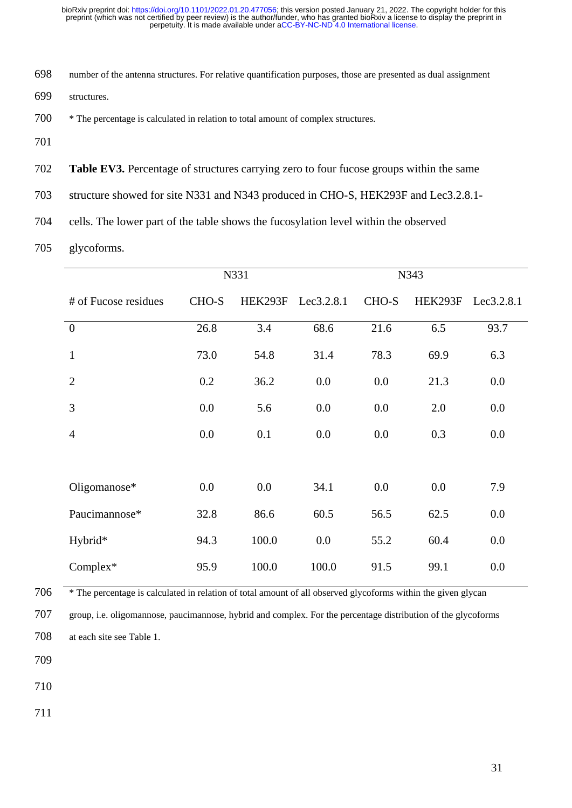- number of the antenna structures. For relative quantification purposes, those are presented as dual assignment
- structures.
- \* The percentage is calculated in relation to total amount of complex structures.
- 
- **Table EV3.** Percentage of structures carrying zero to four fucose groups within the same
- structure showed for site N331 and N343 produced in CHO-S, HEK293F and Lec3.2.8.1-
- cells. The lower part of the table shows the fucosylation level within the observed
- glycoforms.

|                      |       | N331    |            |       | N343    |            |
|----------------------|-------|---------|------------|-------|---------|------------|
| # of Fucose residues | CHO-S | HEK293F | Lec3.2.8.1 | CHO-S | HEK293F | Lec3.2.8.1 |
| $\overline{0}$       | 26.8  | 3.4     | 68.6       | 21.6  | 6.5     | 93.7       |
| $\mathbf{1}$         | 73.0  | 54.8    | 31.4       | 78.3  | 69.9    | 6.3        |
| $\overline{2}$       | 0.2   | 36.2    | 0.0        | 0.0   | 21.3    | 0.0        |
| 3                    | 0.0   | 5.6     | 0.0        | 0.0   | 2.0     | 0.0        |
| $\overline{4}$       | 0.0   | 0.1     | 0.0        | 0.0   | 0.3     | 0.0        |
|                      |       |         |            |       |         |            |
| Oligomanose*         | 0.0   | 0.0     | 34.1       | 0.0   | 0.0     | 7.9        |
| Paucimannose*        | 32.8  | 86.6    | 60.5       | 56.5  | 62.5    | 0.0        |
| Hybrid*              | 94.3  | 100.0   | 0.0        | 55.2  | 60.4    | 0.0        |
| Complex*             | 95.9  | 100.0   | 100.0      | 91.5  | 99.1    | 0.0        |

\* The percentage is calculated in relation of total amount of all observed glycoforms within the given glycan

 group, i.e. oligomannose, paucimannose, hybrid and complex. For the percentage distribution of the glycoforms at each site see Table 1.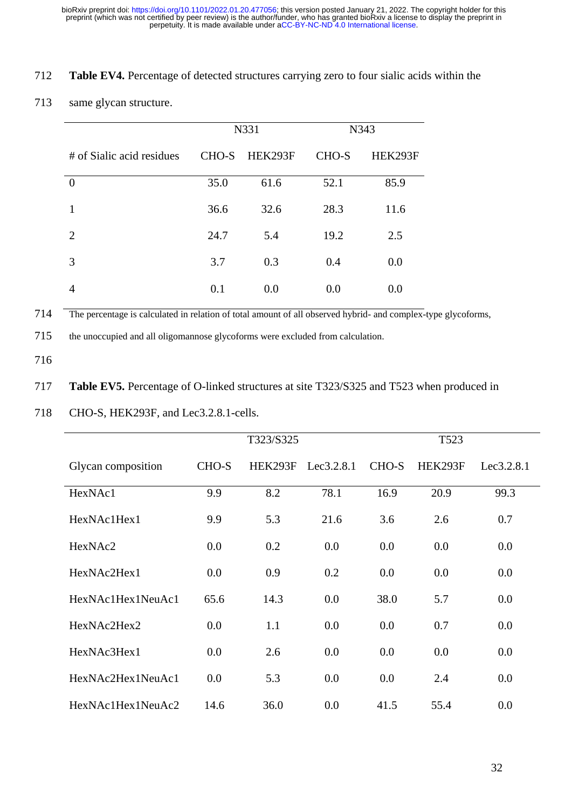## 712 **Table EV4.** Percentage of detected structures carrying zero to four sialic acids within the

## 713 same glycan structure.

|                           | N331  |         |       | N343    |
|---------------------------|-------|---------|-------|---------|
| # of Sialic acid residues | CHO-S | HEK293F | CHO-S | HEK293F |
| $\overline{0}$            | 35.0  | 61.6    | 52.1  | 85.9    |
| 1                         | 36.6  | 32.6    | 28.3  | 11.6    |
| 2                         | 24.7  | 5.4     | 19.2  | 2.5     |
| 3                         | 3.7   | 0.3     | 0.4   | 0.0     |
|                           | 0.1   | 0.0     | 0.0   | 0.0     |

714 The percentage is calculated in relation of total amount of all observed hybrid- and complex-type glycoforms,

715 the unoccupied and all oligomannose glycoforms were excluded from calculation.

716

## 717 **Table EV5.** Percentage of O-linked structures at site T323/S325 and T523 when produced in

718 CHO-S, HEK293F, and Lec3.2.8.1-cells.

|                    | T323/S325 |         |            |       |         |            |
|--------------------|-----------|---------|------------|-------|---------|------------|
| Glycan composition | CHO-S     | HEK293F | Lee3.2.8.1 | CHO-S | HEK293F | Lee3.2.8.1 |
| HexNAc1            | 9.9       | 8.2     | 78.1       | 16.9  | 20.9    | 99.3       |
| HexNAc1Hex1        | 9.9       | 5.3     | 21.6       | 3.6   | 2.6     | 0.7        |
| HexNAc2            | 0.0       | 0.2     | 0.0        | 0.0   | 0.0     | 0.0        |
| HexNAc2Hex1        | 0.0       | 0.9     | 0.2        | 0.0   | 0.0     | 0.0        |
| HexNAc1Hex1NeuAc1  | 65.6      | 14.3    | 0.0        | 38.0  | 5.7     | 0.0        |
| HexNAc2Hex2        | 0.0       | 1.1     | 0.0        | 0.0   | 0.7     | 0.0        |
| HexNAc3Hex1        | 0.0       | 2.6     | 0.0        | 0.0   | 0.0     | 0.0        |
| HexNAc2Hex1NeuAc1  | 0.0       | 5.3     | 0.0        | 0.0   | 2.4     | 0.0        |
| HexNAc1Hex1NeuAc2  | 14.6      | 36.0    | 0.0        | 41.5  | 55.4    | 0.0        |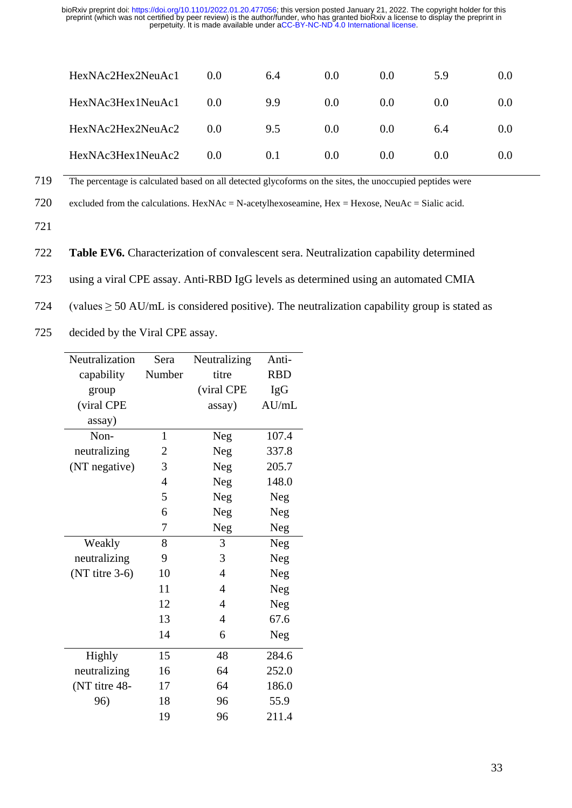| HexNAc2Hex2NeuAc1 | 0.0 | 6.4 | 0.0 | 0.0 | 5.9 | 0.0 |
|-------------------|-----|-----|-----|-----|-----|-----|
| HexNAc3Hex1NeuAc1 | 0.0 | 9.9 | 0.0 | 0.0 | 0.0 | 0.0 |
| HexNAc2Hex2NeuAc2 | 0.0 | 9.5 | 0.0 | 0.0 | 6.4 | 0.0 |
| HexNAc3Hex1NeuAc2 | 0.0 | 0.1 | 0.0 | 0.0 | 0.0 | 0.0 |

719 The percentage is calculated based on all detected glycoforms on the sites, the unoccupied peptides were

720 excluded from the calculations. HexNAc = N-acetylhexoseamine, Hex = Hexose, NeuAc = Sialic acid.

721

722 **Table EV6.** Characterization of convalescent sera. Neutralization capability determined

723 using a viral CPE assay. Anti-RBD IgG levels as determined using an automated CMIA

724 (values  $\geq$  50 AU/mL is considered positive). The neutralization capability group is stated as

725 decided by the Viral CPE assay.

| Neutralization   | Sera         | Neutralizing   | Anti-      |
|------------------|--------------|----------------|------------|
| capability       | Number       | titre          | <b>RBD</b> |
| group            |              | (viral CPE     | <b>IgG</b> |
| (viral CPE       |              | assay)         | AU/mL      |
| assay)           |              |                |            |
| Non-             | $\mathbf{1}$ | <b>Neg</b>     | 107.4      |
| neutralizing     | 2            | Neg            | 337.8      |
| (NT negative)    | 3            | <b>Neg</b>     | 205.7      |
|                  | 4            | Neg            | 148.0      |
|                  | 5            | Neg            | Neg        |
|                  | 6            | Neg            | Neg        |
|                  | 7            | Neg            | Neg        |
| Weakly           | 8            | 3              | Neg        |
| neutralizing     | 9            | 3              | Neg        |
| $(NT$ titre 3-6) | 10           | 4              | Neg        |
|                  | 11           | $\overline{4}$ | Neg        |
|                  | 12           | $\overline{4}$ | Neg        |
|                  | 13           | $\overline{4}$ | 67.6       |
|                  | 14           | 6              | Neg        |
| <b>Highly</b>    | 15           | 48             | 284.6      |
| neutralizing     | 16           | 64             | 252.0      |
| (NT titre 48-    | 17           | 64             | 186.0      |
| 96)              | 18           | 96             | 55.9       |
|                  | 19           | 96             | 211.4      |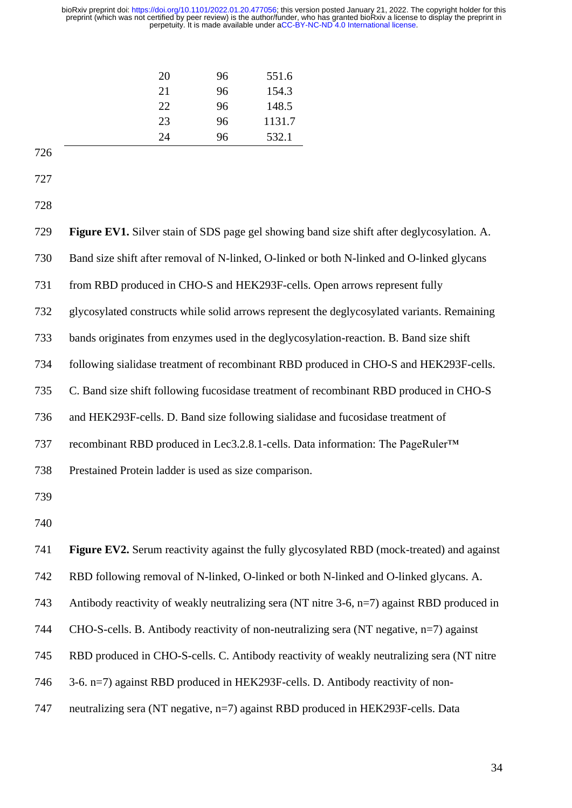| 21<br>22<br>23<br>24 | 96<br>96<br>96<br>532.1<br>96 | 154.3<br>148.5<br>1131.7 |
|----------------------|-------------------------------|--------------------------|
|----------------------|-------------------------------|--------------------------|

| 728 |                                                                                             |
|-----|---------------------------------------------------------------------------------------------|
| 729 | Figure EV1. Silver stain of SDS page gel showing band size shift after deglycosylation. A.  |
| 730 | Band size shift after removal of N-linked, O-linked or both N-linked and O-linked glycans   |
| 731 | from RBD produced in CHO-S and HEK293F-cells. Open arrows represent fully                   |
| 732 | glycosylated constructs while solid arrows represent the deglycosylated variants. Remaining |
| 733 | bands originates from enzymes used in the deglycosylation-reaction. B. Band size shift      |
| 734 | following sialidase treatment of recombinant RBD produced in CHO-S and HEK293F-cells.       |
| 735 | C. Band size shift following fucosidase treatment of recombinant RBD produced in CHO-S      |
| 736 | and HEK293F-cells. D. Band size following sialidase and fucosidase treatment of             |
| 737 | recombinant RBD produced in Lec3.2.8.1-cells. Data information: The PageRuler™              |
| 738 | Prestained Protein ladder is used as size comparison.                                       |
| 739 |                                                                                             |
| 740 |                                                                                             |
| 741 | Figure EV2. Serum reactivity against the fully glycosylated RBD (mock-treated) and against  |
| 742 | RBD following removal of N-linked, O-linked or both N-linked and O-linked glycans. A.       |
| 743 | Antibody reactivity of weakly neutralizing sera (NT nitre 3-6, n=7) against RBD produced in |
| 744 | CHO-S-cells. B. Antibody reactivity of non-neutralizing sera (NT negative, n=7) against     |
| 745 | RBD produced in CHO-S-cells. C. Antibody reactivity of weakly neutralizing sera (NT nitre   |
| 746 | 3-6. n=7) against RBD produced in HEK293F-cells. D. Antibody reactivity of non-             |
| 747 | neutralizing sera (NT negative, n=7) against RBD produced in HEK293F-cells. Data            |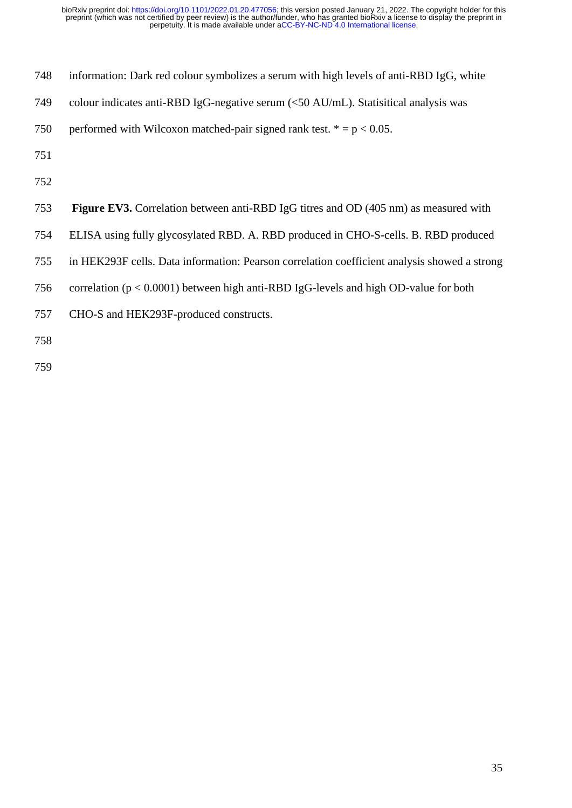| 748 | information: Dark red colour symbolizes a serum with high levels of anti-RBD IgG, white     |
|-----|---------------------------------------------------------------------------------------------|
| 749 | colour indicates anti-RBD IgG-negative serum $(50 \text{ AU/mL}). Statistical analysis was$ |
| 750 | performed with Wilcoxon matched-pair signed rank test. $* = p < 0.05$ .                     |
| 751 |                                                                                             |
| 752 |                                                                                             |
| 753 | <b>Figure EV3.</b> Correlation between anti-RBD IgG titres and OD (405 nm) as measured with |
| 754 | ELISA using fully glycosylated RBD. A. RBD produced in CHO-S-cells. B. RBD produced         |
|     |                                                                                             |

in HEK293F cells. Data information: Pearson correlation coefficient analysis showed a strong

correlation (p < 0.0001) between high anti-RBD IgG-levels and high OD-value for both

CHO-S and HEK293F-produced constructs.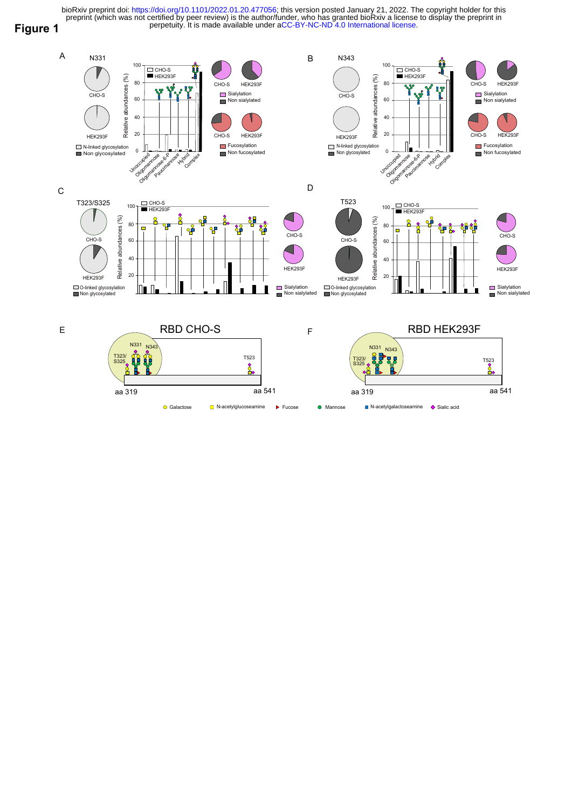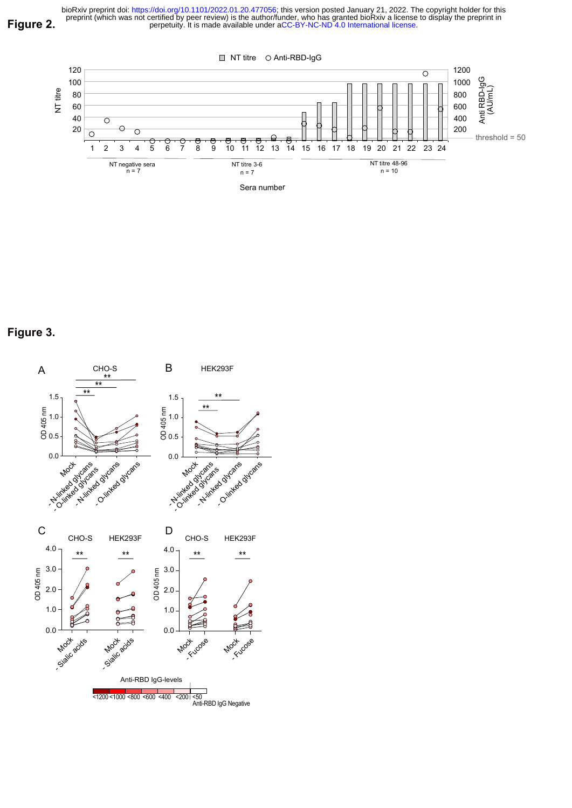

Figure 3.

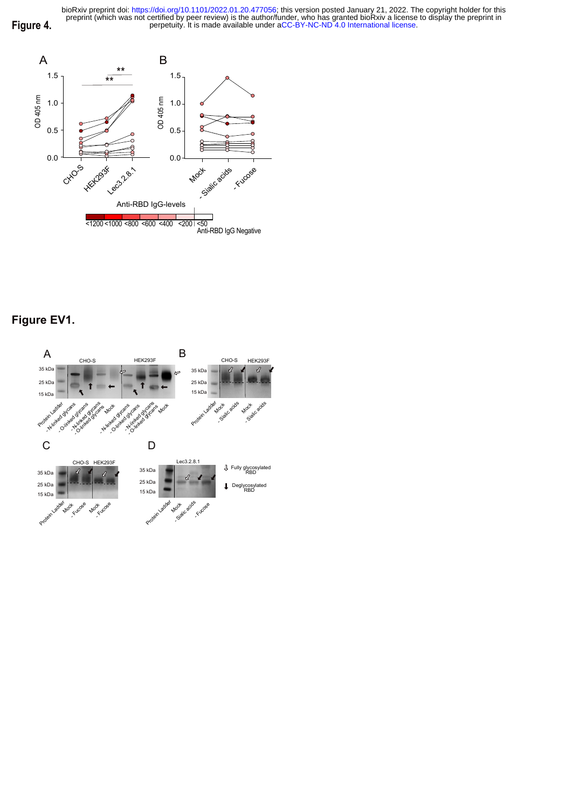

# Figure EV1.